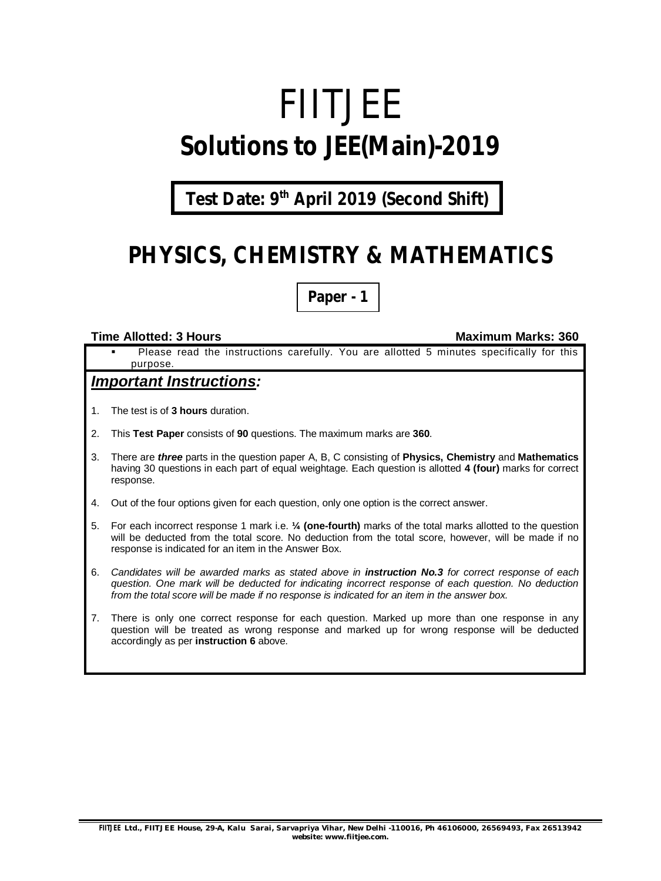# FIITJEE **Solutions to JEE(Main)-2019**

**Test Date: 9th April 2019 (Second Shift)**

## **PHYSICS, CHEMISTRY & MATHEMATICS**

**Paper - 1**

#### **Time Allotted: 3 Hours Maximum Marks: 360**

 Please read the instructions carefully. You are allotted 5 minutes specifically for this purpose.

#### *Important Instructions:*

- 1. The test is of **3 hours** duration.
- 2. This **Test Paper** consists of **90** questions. The maximum marks are **360**.
- 3. There are *three* parts in the question paper A, B, C consisting of **Physics, Chemistry** and **Mathematics** having 30 questions in each part of equal weightage. Each question is allotted **4 (four)** marks for correct response.
- 4. Out of the four options given for each question, only one option is the correct answer.
- 5. For each incorrect response 1 mark i.e. **¼ (one-fourth)** marks of the total marks allotted to the question will be deducted from the total score. No deduction from the total score, however, will be made if no response is indicated for an item in the Answer Box.
- 6. *Candidates will be awarded marks as stated above in instruction No.3 for correct response of each question. One mark will be deducted for indicating incorrect response of each question. No deduction from the total score will be made if no response is indicated for an item in the answer box.*
- 7. There is only one correct response for each question. Marked up more than one response in any question will be treated as wrong response and marked up for wrong response will be deducted accordingly as per **instruction 6** above.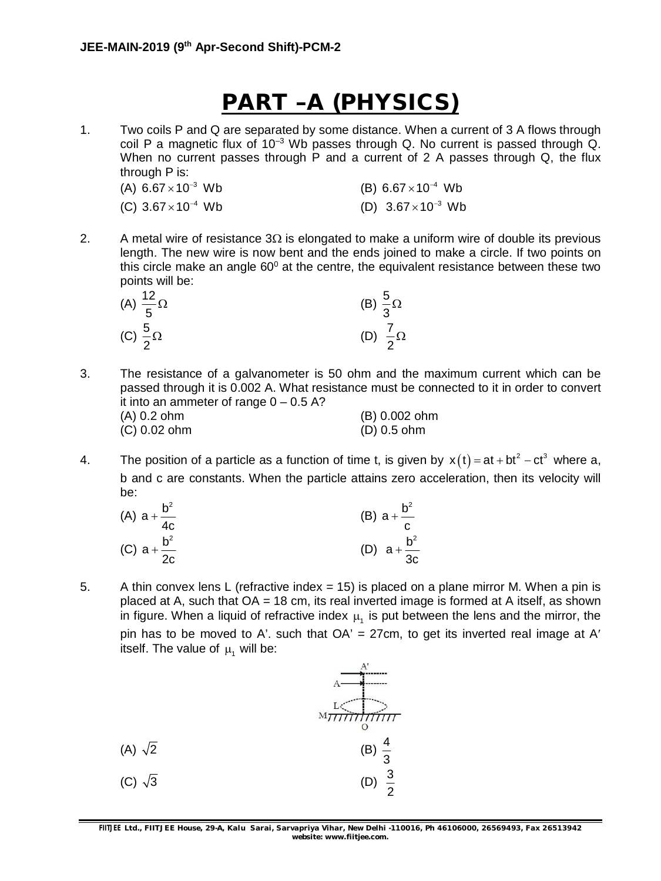## **PART –A (PHYSICS)**

1. Two coils P and Q are separated by some distance. When a current of 3 A flows through coil P a magnetic flux of  $10^{-3}$  Wb passes through Q. No current is passed through Q. When no current passes through P and a current of 2 A passes through Q, the flux through P is:

| (A) $6.67 \times 10^{-3}$ Wb | (B) $6.67 \times 10^{-4}$ Wb |
|------------------------------|------------------------------|
| (C) $3.67 \times 10^{-4}$ Wb | (D) $3.67 \times 10^{-3}$ Wb |

2. A metal wire of resistance  $3\Omega$  is elongated to make a uniform wire of double its previous length. The new wire is now bent and the ends joined to make a circle. If two points on this circle make an angle  $60^{\circ}$  at the centre, the equivalent resistance between these two points will be:

| (A) $\frac{12}{5}$ $\Omega$ | (B) $\frac{5}{3}\Omega$    |
|-----------------------------|----------------------------|
| (C) $\frac{5}{2}$ $\Omega$  | (D) $\frac{7}{2}$ $\Omega$ |

- 3. The resistance of a galvanometer is 50 ohm and the maximum current which can be passed through it is 0.002 A. What resistance must be connected to it in order to convert it into an ammeter of range  $0 - 0.5$  A? (A) 0.2 ohm (B) 0.002 ohm (C) 0.02 ohm (D) 0.5 ohm
- 4. The position of a particle as a function of time t, is given by  $x(t) = at + bt^2 ct^3$  where a, b and c are constants. When the particle attains zero acceleration, then its velocity will be:

| (A) $a + \frac{b^2}{4c}$ | (B) $a + \frac{b^2}{c}$  |
|--------------------------|--------------------------|
| (C) $a + \frac{b^2}{2c}$ | (D) $a + \frac{b^2}{3c}$ |

5. A thin convex lens L (refractive index = 15) is placed on a plane mirror M. When a pin is placed at A, such that  $OA = 18$  cm, its real inverted image is formed at A itself, as shown in figure. When a liquid of refractive index  $\mu_i$  is put between the lens and the mirror, the pin has to be moved to A'. such that  $OA' = 27$ cm, to get its inverted real image at A' itself. The value of  $\mu$ , will be:



**FIITJEE** *Ltd., FIITJEE House, 29-A, Kalu Sarai, Sarvapriya Vihar, New Delhi -110016, Ph 46106000, 26569493, Fax 26513942 website: [www.fiitjee.com.](http://www.fiitjee.com.)*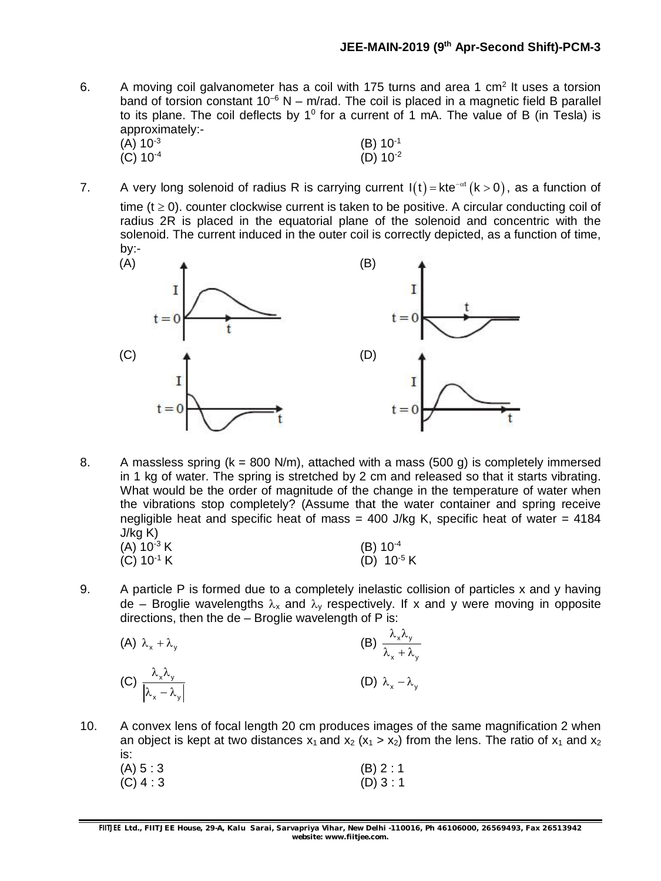6. A moving coil galvanometer has a coil with 175 turns and area 1 cm<sup>2</sup> It uses a torsion band of torsion constant  $10^{-6}$  N – m/rad. The coil is placed in a magnetic field B parallel to its plane. The coil deflects by 1<sup>0</sup> for a current of 1 mA. The value of B (in Tesla) is approximately:-

| (A) 10 <sup>-3</sup> | $(B) 10^{-1}$ |
|----------------------|---------------|
| (C) $10^{-4}$        | (D) $10^{-2}$ |

7. A very long solenoid of radius R is carrying current  $I(t)$  = kte<sup>- $\alpha t$ </sup> (k > 0), as a function of time ( $t \ge 0$ ). counter clockwise current is taken to be positive. A circular conducting coil of radius 2R is placed in the equatorial plane of the solenoid and concentric with the solenoid. The current induced in the outer coil is correctly depicted, as a function of time, by:-



8. A massless spring  $(k = 800 \text{ N/m})$ , attached with a mass (500 g) is completely immersed in 1 kg of water. The spring is stretched by 2 cm and released so that it starts vibrating. What would be the order of magnitude of the change in the temperature of water when the vibrations stop completely? (Assume that the water container and spring receive negligible heat and specific heat of mass  $=$  400 J/kg K, specific heat of water  $=$  4184  $J/kg K$ )<br>(A) 40<sup>-31</sup> (A)  $10^{-3}$  K (B)  $10^{-4}$ 

| $(A)$ 10 $^{\circ}$ K    | (D) 10          |
|--------------------------|-----------------|
| $(C)$ 10 <sup>-1</sup> K | (D) $10^{-5}$ K |

9. A particle P is formed due to a completely inelastic collision of particles x and y having de – Broglie wavelengths  $\lambda_x$  and  $\lambda_y$  respectively. If x and y were moving in opposite directions, then the de – Broglie wavelength of P is:

| (A) $\lambda_x + \lambda_y$                                          | (B) $\frac{\lambda_x \lambda_y}{\lambda_x + \lambda_y}$ |
|----------------------------------------------------------------------|---------------------------------------------------------|
| (C) $\frac{\lambda_x \lambda_y}{\left \lambda_x - \lambda_y\right }$ | (D) $\lambda_x - \lambda_y$                             |

10. A convex lens of focal length 20 cm produces images of the same magnification 2 when an object is kept at two distances  $x_1$  and  $x_2$  ( $x_1 > x_2$ ) from the lens. The ratio of  $x_1$  and  $x_2$ is:<br> $(4)$   $5 \cdot 3$  $(A) 5 : 3$  (B) 2 : 1

| (A) ၁ . ၁   | $(D)$ $\angle$ . $\perp$ |
|-------------|--------------------------|
| $(C)$ 4 : 3 | (D) 3:1                  |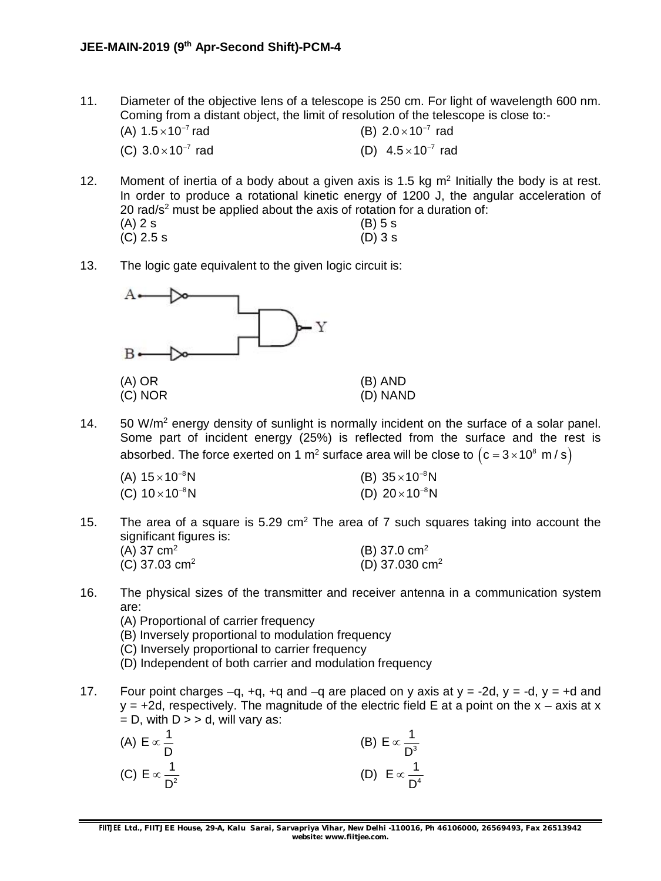11. Diameter of the objective lens of a telescope is 250 cm. For light of wavelength 600 nm. Coming from a distant object, the limit of resolution of the telescope is close to:-

| (A) $1.5 \times 10^{-7}$ rad | (B) $2.0 \times 10^{-7}$ rad |
|------------------------------|------------------------------|
| (C) $3.0 \times 10^{-7}$ rad | (D) $4.5 \times 10^{-7}$ rad |

12. Moment of inertia of a body about a given axis is 1.5 kg  $m<sup>2</sup>$  Initially the body is at rest. In order to produce a rotational kinetic energy of 1200 J, the angular acceleration of 20 rad/ $s^2$  must be applied about the axis of rotation for a duration of:

| (A) 2 s   | $(B)$ 5 s |
|-----------|-----------|
| (C) 2.5 s | $(D)$ 3 s |

13. The logic gate equivalent to the given logic circuit is:



14.  $50 \text{ W/m}^2$  energy density of sunlight is normally incident on the surface of a solar panel. Some part of incident energy (25%) is reflected from the surface and the rest is absorbed. The force exerted on 1 m<sup>2</sup> surface area will be close to  $\left($  c = 3 $\times$ 10 $^{\rm 8}$  m / s $\right)$ 

| (A) $15 \times 10^{-8}$ N | (B) $35 \times 10^{-8}$ N |
|---------------------------|---------------------------|
| (C) $10\times10^{-8}$ N   | (D) $20 \times 10^{-8}$ N |

15. The area of a square is 5.29  $\text{cm}^2$  The area of 7 such squares taking into account the significant figures is:

| (A) 37 $cm2$            | (B) 37.0 $cm2$   |
|-------------------------|------------------|
| (C) 37.03 $\text{cm}^2$ | (D) 37.030 $cm2$ |

- 16. The physical sizes of the transmitter and receiver antenna in a communication system are:
	- (A) Proportional of carrier frequency
	- (B) Inversely proportional to modulation frequency
	- (C) Inversely proportional to carrier frequency
	- (D) Independent of both carrier and modulation frequency
- 17. Four point charges  $-q$ ,  $+q$ ,  $+q$  and  $-q$  are placed on y axis at  $y = -2d$ ,  $y = -d$ ,  $y = +d$  and  $y = +2d$ , respectively. The magnitude of the electric field E at a point on the  $x - a$ xis at x  $= D$ , with  $D \geq 0$ , will vary as:

| (A) $E \propto \frac{1}{D}$   | (B) $E \propto \frac{1}{D^3}$ |
|-------------------------------|-------------------------------|
| (C) $E \propto \frac{1}{D^2}$ | (D) $E \propto \frac{1}{D^4}$ |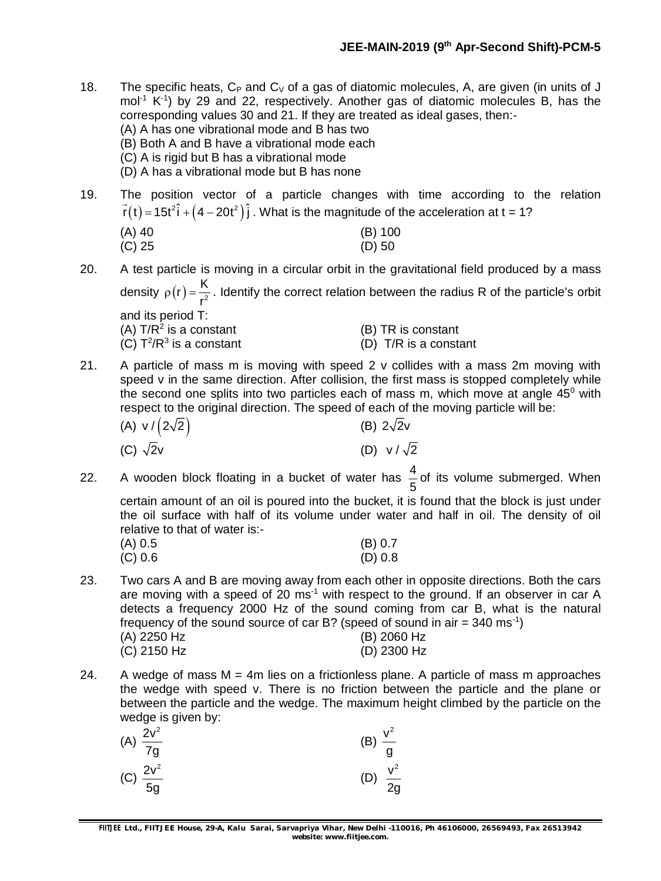- 18. The specific heats,  $C_P$  and  $C_V$  of a gas of diatomic molecules, A, are given (in units of J mol<sup>-1</sup> K<sup>-1</sup>) by 29 and 22, respectively. Another gas of diatomic molecules B, has the corresponding values 30 and 21. If they are treated as ideal gases, then:- (A) A has one vibrational mode and B has two (B) Both A and B have a vibrational mode each (C) A is rigid but B has a vibrational mode (D) A has a vibrational mode but B has none
- 19. The position vector of a particle changes with time according to the relation  $\vec{r}(t)$  = 15t $^2\hat{i}$  +  $\left($  4  $-$  20t $^2\right)\hat{j}$  . What is the magnitude of the acceleration at t = 1?

| (A) 40 | $(B)$ 100 |
|--------|-----------|
| (C) 25 | $(D)$ 50  |

- 20. A test particle is moving in a circular orbit in the gravitational field produced by a mass density  $\rho(r) = \frac{K}{r^2}$ r  $\rho(r) = \frac{1}{2}$ . Identify the correct relation between the radius R of the particle's orbit and its period T: (A)  $T/R^2$  is a constant  $(B)$  TR is constant  $(C) T^2/R^3$  $(D)$  T/R is a constant
- 21. A particle of mass m is moving with speed 2 v collides with a mass 2m moving with speed v in the same direction. After collision, the first mass is stopped completely while the second one splits into two particles each of mass m, which move at angle  $45^{\circ}$  with respect to the original direction. The speed of each of the moving particle will be:
	- (A)  $v / (2\sqrt{2})$  (B)  $2\sqrt{2}v$ (C)  $\sqrt{2}v$  (D)  $v / \sqrt{2}$
- 22. A wooden block floating in a bucket of water has  $\frac{4}{5}$ 5 of its volume submerged. When certain amount of an oil is poured into the bucket, it is found that the block is just under

the oil surface with half of its volume under water and half in oil. The density of oil relative to that of water is:-

| (A) 0.5   | (B) 0.7 |
|-----------|---------|
| $(C)$ 0.6 | (D) 0.8 |

- 23. Two cars A and B are moving away from each other in opposite directions. Both the cars are moving with a speed of 20 ms<sup>-1</sup> with respect to the ground. If an observer in car A detects a frequency 2000 Hz of the sound coming from car B, what is the natural frequency of the sound source of car B? (speed of sound in air = 340 ms<sup>-1</sup>) (A) 2250 Hz (B) 2060 Hz (C) 2150 Hz (D) 2300 Hz
- 24. A wedge of mass  $M = 4m$  lies on a frictionless plane. A particle of mass m approaches the wedge with speed v. There is no friction between the particle and the plane or between the particle and the wedge. The maximum height climbed by the particle on the wedge is given by:

| ັ<br>(A) $\frac{2v^2}{7g}$ | - | (B) $\frac{v^2}{g}$  |
|----------------------------|---|----------------------|
| (C) $\frac{2v^2}{5g}$      |   | (D) $\frac{v^2}{2g}$ |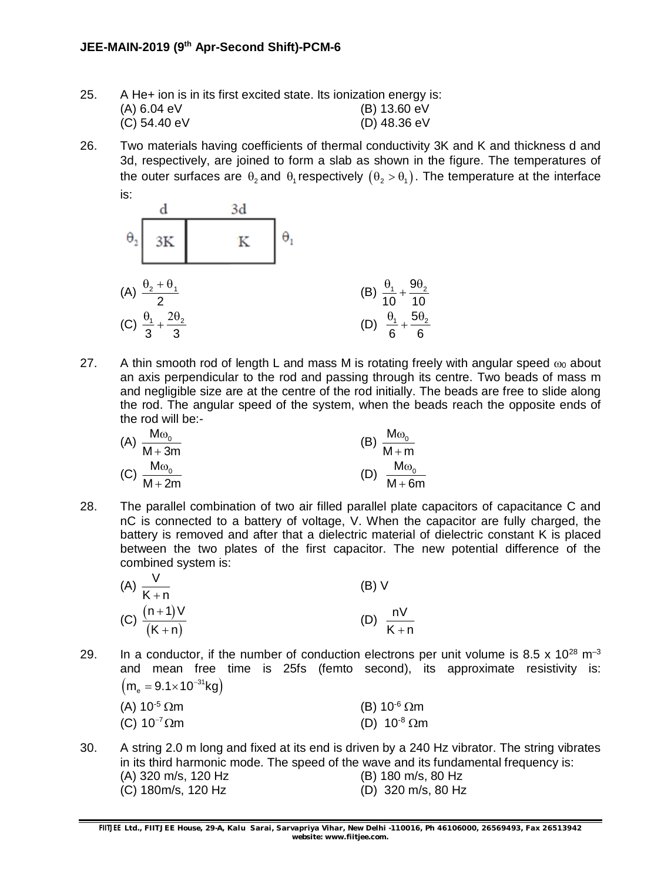| 25. | A He+ ion is in its first excited state. Its ionization energy is: |                |
|-----|--------------------------------------------------------------------|----------------|
|     | (A) 6.04 eV                                                        | (B) 13.60 eV   |
|     | $(C)$ 54.40 eV                                                     | $(D)$ 48.36 eV |

26. Two materials having coefficients of thermal conductivity 3K and K and thickness d and 3d, respectively, are joined to form a slab as shown in the figure. The temperatures of the outer surfaces are  $\theta_2$  and  $\theta_1$  respectively  $(\theta_2 > \theta_1)$ . The temperature at the interface is:



- 27. A thin smooth rod of length L and mass M is rotating freely with angular speed  $\omega_0$  about an axis perpendicular to the rod and passing through its centre. Two beads of mass m and negligible size are at the centre of the rod initially. The beads are free to slide along the rod. The angular speed of the system, when the beads reach the opposite ends of the rod will be:-
	- (A)  $\frac{M\omega_0}{M\Omega}$  $M + 3m$  $\omega$  $\ddot{}$ (B)  $\frac{M\omega_0}{M}$  $M + m$  $\omega$  $\ddot{}$  $(C) \frac{M\omega_0}{M}$  $M + 2m$  $\omega$  $^{+}$ (D)  $\frac{M\omega_0}{M}$  $M + 6m$  $\omega$  $\ddot{}$
- 28. The parallel combination of two air filled parallel plate capacitors of capacitance C and nC is connected to a battery of voltage, V. When the capacitor are fully charged, the battery is removed and after that a dielectric material of dielectric constant K is placed between the two plates of the first capacitor. The new potential difference of the combined system is:

| (A) $\frac{V}{K+n}$        | (B) V            |
|----------------------------|------------------|
| (C) $\frac{(n+1)V}{(K+n)}$ | nV               |
| $\overline{(K+n)}$         | $\overline{K+n}$ |

29. In a conductor, if the number of conduction electrons per unit volume is 8.5 x  $10^{28}$  m<sup>-3</sup> and mean free time is 25fs (femto second), its approximate resistivity is:  $(m_e = 9.1 \times 10^{-31} \text{kg})$ 

| (A) 10 <sup>-5</sup> $\Omega$ m | (B) 10 <sup>-6</sup> $\Omega$ m |
|---------------------------------|---------------------------------|
| (C) $10^{-7}$ $\Omega$ m        | (D) $10^{-8}$ $\Omega$ m        |

30. A string 2.0 m long and fixed at its end is driven by a 240 Hz vibrator. The string vibrates in its third harmonic mode. The speed of the wave and its fundamental frequency is: (A) 320 m/s, 120 Hz (B) 180 m/s, 80 Hz (C) 180m/s, 120 Hz (D) 320 m/s, 80 Hz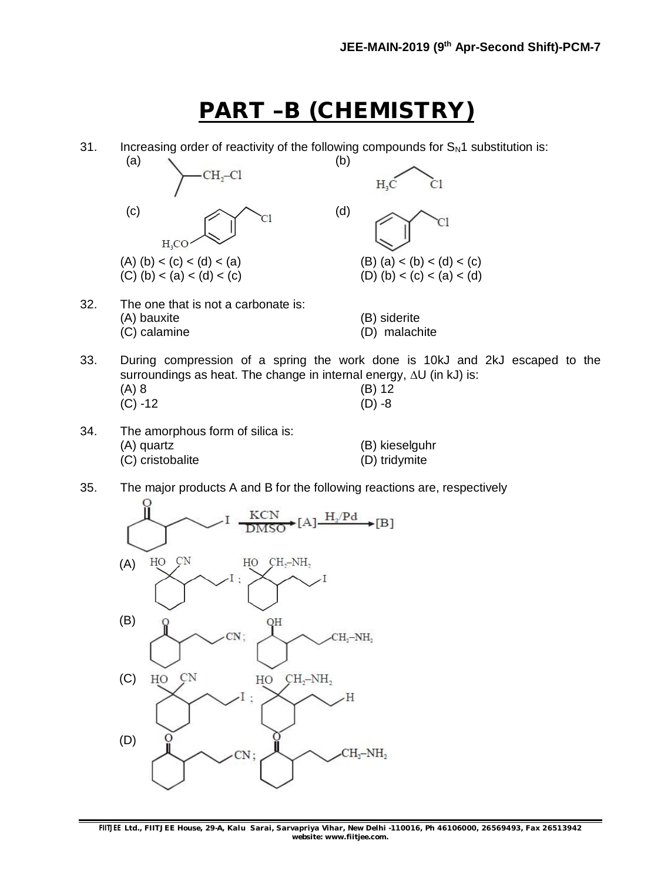### **PART –B (CHEMISTRY)**

31. Increasing order of reactivity of the following compounds for  $S_N1$  substitution is:



- 33. During compression of a spring the work done is 10kJ and 2kJ escaped to the surroundings as heat. The change in internal energy,  $\Delta U$  (in kJ) is: (A) 8 (B) 12 (C) -12 (D) -8
- 34. The amorphous form of silica is: (A) quartz (B) kieselguhr (C) cristobalite (D) tridymite
- 35. The major products A and B for the following reactions are, respectively

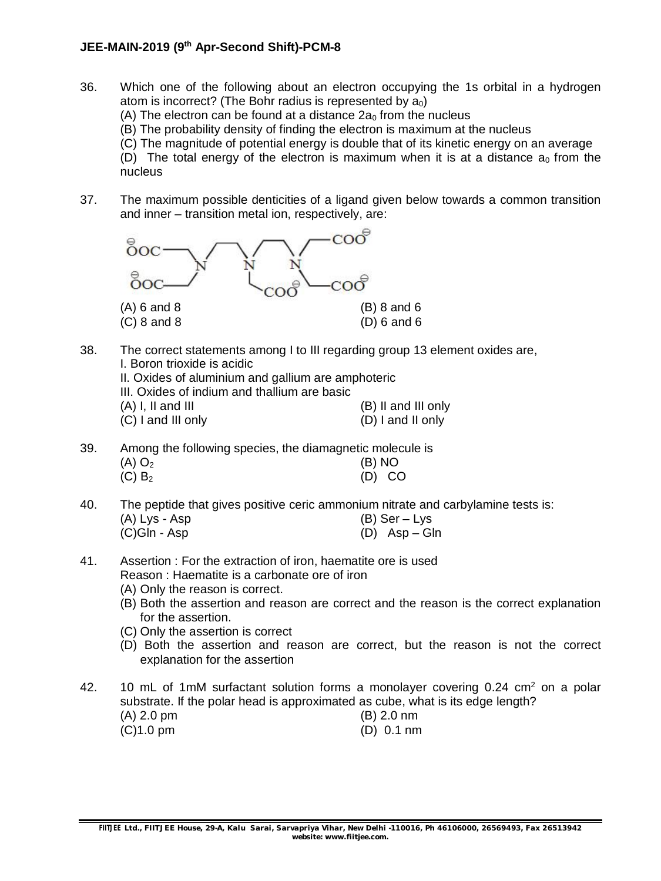#### **JEE-MAIN-2019 (9th Apr-Second Shift)-PCM-8**

- 36. Which one of the following about an electron occupying the 1s orbital in a hydrogen atom is incorrect? (The Bohr radius is represented by  $a_0$ ) (A) The electron can be found at a distance  $2a_0$  from the nucleus (B) The probability density of finding the electron is maximum at the nucleus (C) The magnitude of potential energy is double that of its kinetic energy on an average (D) The total energy of the electron is maximum when it is at a distance  $a_0$  from the nucleus
- 37. The maximum possible denticities of a ligand given below towards a common transition and inner – transition metal ion, respectively, are:



- 38. The correct statements among I to III regarding group 13 element oxides are, I. Boron trioxide is acidic
	- II. Oxides of aluminium and gallium are amphoteric
	- III. Oxides of indium and thallium are basic
	- $(A)$  I, II and III  $(B)$  II and III only (C) I and III only (D) I and II only
- 39. Among the following species, the diamagnetic molecule is  $(A)$  O<sub>2</sub> (B) NO  $(C) B<sub>2</sub>$  (D) CO
- 40. The peptide that gives positive ceric ammonium nitrate and carbylamine tests is: (A) Lys - Asp (B) Ser – Lys  $(C)Gln - Asp$  (D)  $Asp - Gh$
- 41. Assertion : For the extraction of iron, haematite ore is used Reason : Haematite is a carbonate ore of iron
	- (A) Only the reason is correct.
	- (B) Both the assertion and reason are correct and the reason is the correct explanation for the assertion.
	- (C) Only the assertion is correct
	- (D) Both the assertion and reason are correct, but the reason is not the correct explanation for the assertion
- 42. 10 mL of 1mM surfactant solution forms a monolayer covering  $0.24 \text{ cm}^2$  on a polar substrate. If the polar head is approximated as cube, what is its edge length? (A) 2.0 pm (B) 2.0 nm
	- (C)1.0 pm (D) 0.1 nm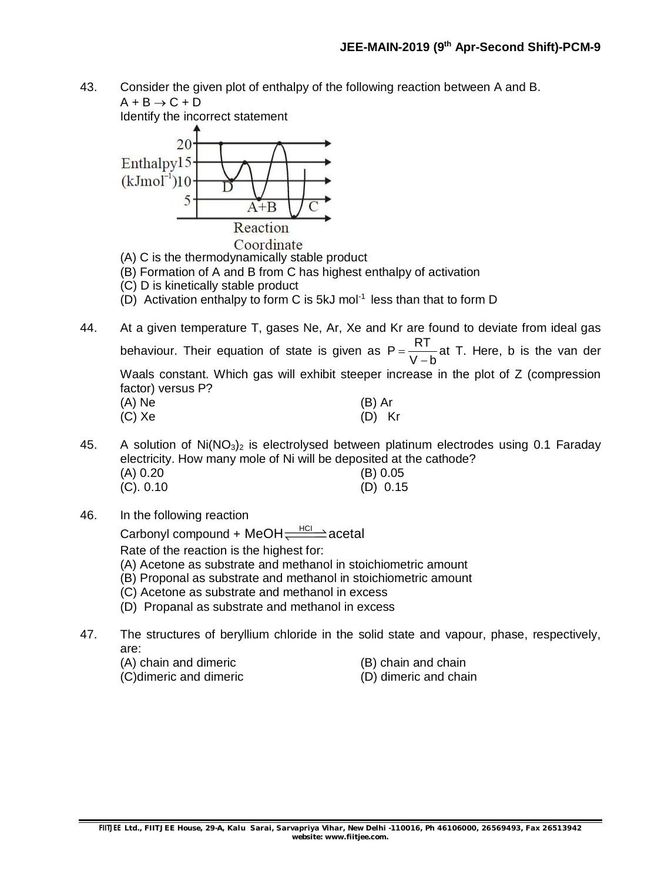43. Consider the given plot of enthalpy of the following reaction between A and B.  $A + B \rightarrow C + D$ 

Identify the incorrect statement



- (A) C is the thermodynamically stable product
- (B) Formation of A and B from C has highest enthalpy of activation
- (C) D is kinetically stable product
- (D) Activation enthalpy to form C is 5kJ mol<sup>-1</sup> less than that to form D
- 44. At a given temperature T, gases Ne, Ar, Xe and Kr are found to deviate from ideal gas behaviour. Their equation of state is given as  $P = \frac{RT}{P}$  $V - b$  $=$  $\overline{\phantom{a}}$ at T. Here, b is the van der Waals constant. Which gas will exhibit steeper increase in the plot of Z (compression factor) versus P? (A) Ne (B) Ar (B) Ar (C) Xe (D) K  $(D)$  Kr
- 45. A solution of  $Ni(NO<sub>3</sub>)<sub>2</sub>$  is electrolysed between platinum electrodes using 0.1 Faraday electricity. How many mole of Ni will be deposited at the cathode? (A) 0.20 (B) 0.05 (C). 0.10 (D) 0.15
- 46. In the following reaction

Carbonyl compound + MeOH $\rightleftharpoons$  $\leftarrows$ acetal

Rate of the reaction is the highest for:

- (A) Acetone as substrate and methanol in stoichiometric amount
- (B) Proponal as substrate and methanol in stoichiometric amount
- (C) Acetone as substrate and methanol in excess
- (D) Propanal as substrate and methanol in excess
- 47. The structures of beryllium chloride in the solid state and vapour, phase, respectively, are:
	- (A) chain and dimeric (B) chain and chain
- - (C)dimeric and dimeric (D) dimeric and chain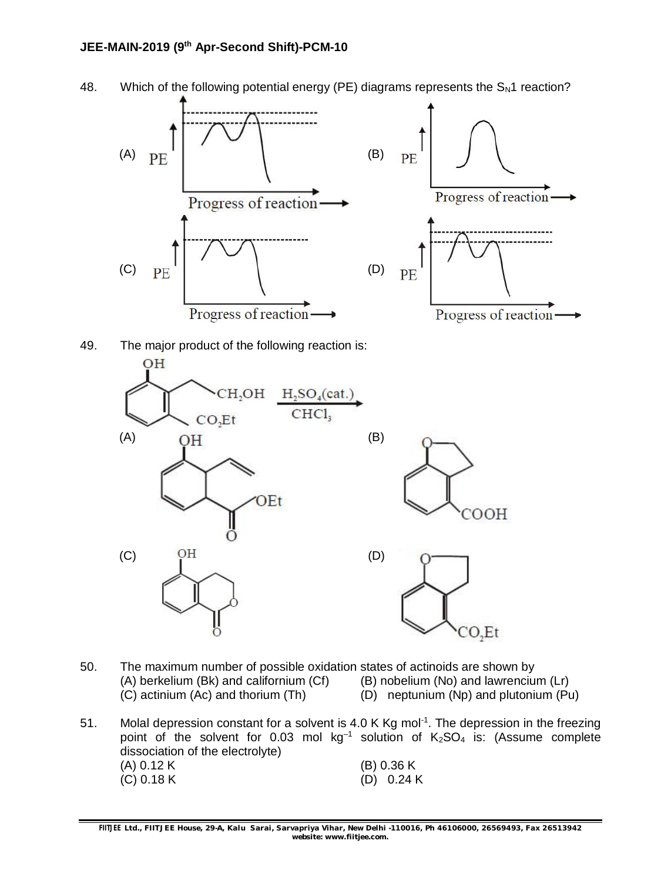







- 50. The maximum number of possible oxidation states of actinoids are shown by (A) berkelium (Bk) and californium (Cf) (B) nobelium (No) and lawrencium (A) berkelium (Bk) and californium (Cf) (B) nobelium (No) and lawrencium (Lr) (C) actinium (Ac) and thorium (Th) (D) neptunium (Np) and plutonium (Pu (D) neptunium (Np) and plutonium (Pu)
- 51. Molal depression constant for a solvent is 4.0 K Kg mol<sup>-1</sup>. The depression in the freezing point of the solvent for 0.03 mol  $kg^{-1}$  solution of  $K_2SO_4$  is: (Assume complete dissociation of the electrolyte) (A) 0.12 K (B) 0.36 K (C) 0.18 K (D) 0.24 K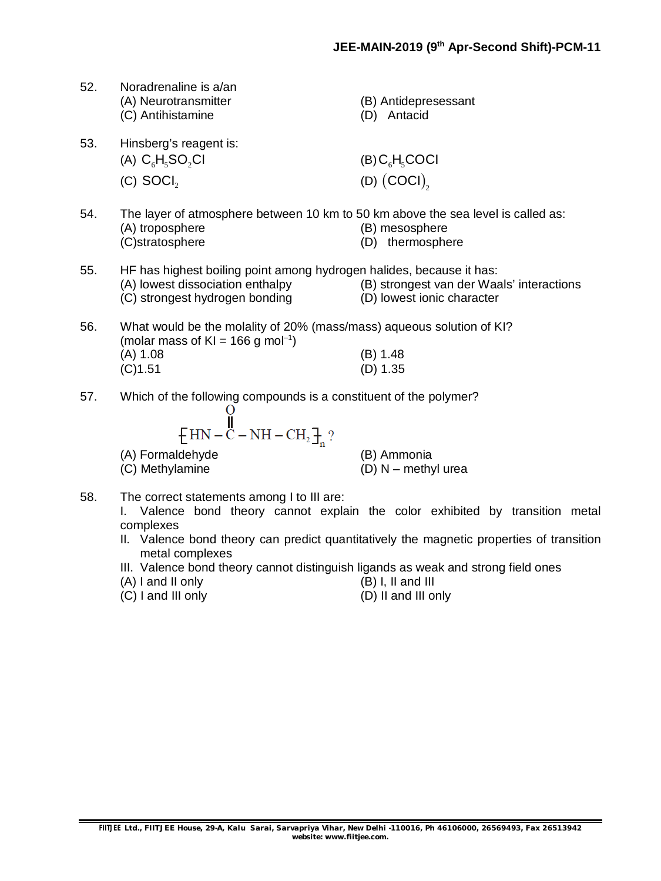- 52. Noradrenaline is a/an (A) Neurotransmitter (B) Antidepresessant (C) Antihistamine (D) Antacid 53. Hinsberg's reagent is:
	- (A)  $C_{6}H_{6}SO_{2}Cl$  (B)  $C_{6}H_{6}COCl$  $(C)$  SOCI<sub>2</sub>
- 54. The layer of atmosphere between 10 km to 50 km above the sea level is called as: (A) troposphere (B) mesosphere (C)stratosphere (D) thermosphere
- 55. HF has highest boiling point among hydrogen halides, because it has: (A) lowest dissociation enthalpy (B) strongest van der Waals' interactions (C) strongest hydrogen bonding (D) lowest ionic character
- 56. What would be the molality of 20% (mass/mass) aqueous solution of KI? (molar mass of KI = 166 g mol<sup>-1</sup>) (A) 1.08 (B) 1.48 (C)1.51 (D) 1.35
- 57. Which of the following compounds is a constituent of the polymer?

$$
\begin{array}{c}\n\mathbf{U} \\
\mathbf{H}\mathbf{N} - \mathbf{C} - \mathbf{N}\mathbf{H} - \mathbf{C}\mathbf{H}_2\n\end{array}
$$
\n(A) Formaldehyde (B) Ammonia

(D)  $\left(\mathsf{COCI}\right)_2$ 

- (C) Methylamine (D) N methyl urea
- 58. The correct statements among I to III are:

I. Valence bond theory cannot explain the color exhibited by transition metal complexes

- II. Valence bond theory can predict quantitatively the magnetic properties of transition metal complexes
- III. Valence bond theory cannot distinguish ligands as weak and strong field ones
- (A) I and II only  $(B)$  I, II and III  $(C)$  I and III only  $(D)$  II and III or
	- (D) II and III only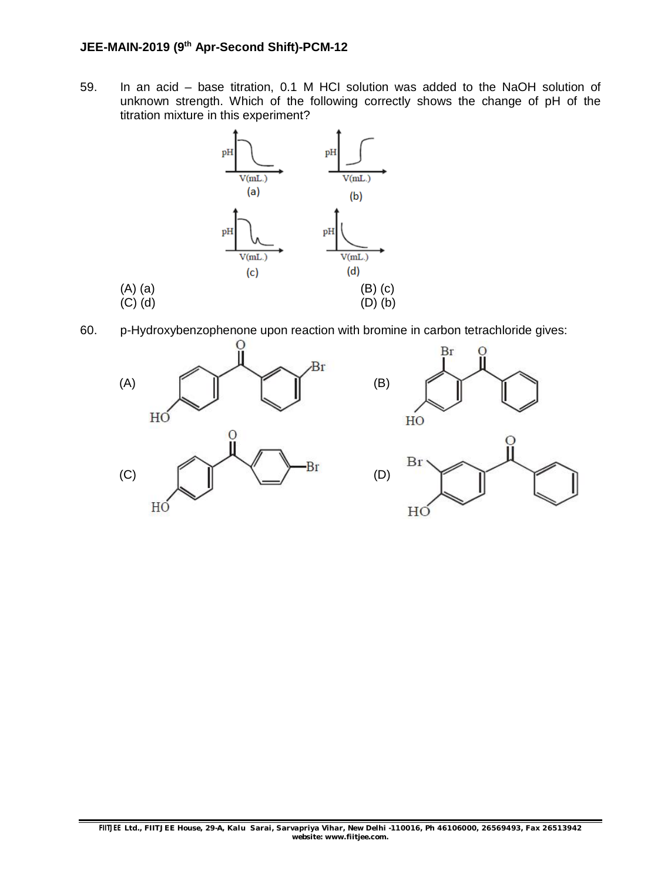### **JEE-MAIN-2019 (9th Apr-Second Shift)-PCM-12**

59. In an acid – base titration, 0.1 M HCI solution was added to the NaOH solution of unknown strength. Which of the following correctly shows the change of pH of the titration mixture in this experiment?



60. p-Hydroxybenzophenone upon reaction with bromine in carbon tetrachloride gives:

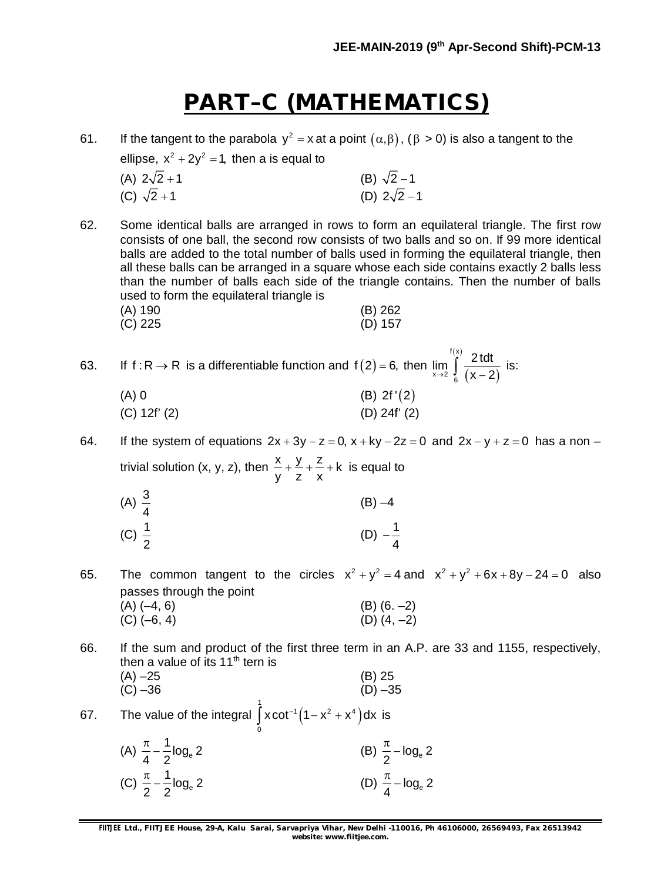### **PART–C (MATHEMATICS)**

| 61. | If the tangent to the parabola $y^2 = x$ at a point $(\alpha, \beta)$ , $(\beta > 0)$ is also a tangent to the<br>ellipse, $x^2 + 2y^2 = 1$ , then a is equal to<br>(A) $2\sqrt{2}+1$ | (B) $\sqrt{2}-1$                                                                                                                                                                                                                                                                                                                                                                                                                                                                                  |  |  |
|-----|---------------------------------------------------------------------------------------------------------------------------------------------------------------------------------------|---------------------------------------------------------------------------------------------------------------------------------------------------------------------------------------------------------------------------------------------------------------------------------------------------------------------------------------------------------------------------------------------------------------------------------------------------------------------------------------------------|--|--|
|     | (C) $\sqrt{2} + 1$                                                                                                                                                                    | (D) $2\sqrt{2}-1$                                                                                                                                                                                                                                                                                                                                                                                                                                                                                 |  |  |
| 62. | used to form the equilateral triangle is<br>(A) 190<br>$(C)$ 225                                                                                                                      | Some identical balls are arranged in rows to form an equilateral triangle. The first row<br>consists of one ball, the second row consists of two balls and so on. If 99 more identical<br>balls are added to the total number of balls used in forming the equilateral triangle, then<br>all these balls can be arranged in a square whose each side contains exactly 2 balls less<br>than the number of balls each side of the triangle contains. Then the number of balls<br>(B) 262<br>(D) 157 |  |  |
| 63. |                                                                                                                                                                                       |                                                                                                                                                                                                                                                                                                                                                                                                                                                                                                   |  |  |
|     | If $f: R \to R$ is a differentiable function and $f(2) = 6$ , then $\lim_{x \to 2} \int_{a}^{f(x)} \frac{2 \cdot 1}{(x-2)}$ is:                                                       |                                                                                                                                                                                                                                                                                                                                                                                                                                                                                                   |  |  |
|     | $(A)$ 0                                                                                                                                                                               | (B) $2f'(2)$                                                                                                                                                                                                                                                                                                                                                                                                                                                                                      |  |  |
|     | (C) 12f' (2)                                                                                                                                                                          | $(D)$ 24f' $(2)$                                                                                                                                                                                                                                                                                                                                                                                                                                                                                  |  |  |
| 64. |                                                                                                                                                                                       | If the system of equations $2x + 3y - z = 0$ , $x + ky - 2z = 0$ and $2x - y + z = 0$ has a non -                                                                                                                                                                                                                                                                                                                                                                                                 |  |  |
|     | trivial solution (x, y, z), then $\frac{x}{y} + \frac{y}{z} + \frac{z}{x} + k$ is equal to                                                                                            |                                                                                                                                                                                                                                                                                                                                                                                                                                                                                                   |  |  |
|     |                                                                                                                                                                                       | $(B) -4$                                                                                                                                                                                                                                                                                                                                                                                                                                                                                          |  |  |
|     | (A) $\frac{3}{4}$<br>(C) $\frac{1}{2}$                                                                                                                                                | (D) $-\frac{1}{4}$                                                                                                                                                                                                                                                                                                                                                                                                                                                                                |  |  |
| 65. |                                                                                                                                                                                       | The common tangent to the circles $x^2 + y^2 = 4$ and $x^2 + y^2 + 6x + 8y - 24 = 0$ also                                                                                                                                                                                                                                                                                                                                                                                                         |  |  |
|     | passes through the point<br>$(A)$ $(-4, 6)$                                                                                                                                           |                                                                                                                                                                                                                                                                                                                                                                                                                                                                                                   |  |  |
|     | $(C)$ $(-6, 4)$                                                                                                                                                                       | (B) $(6. -2)$<br>(D) $(4, -2)$                                                                                                                                                                                                                                                                                                                                                                                                                                                                    |  |  |
|     |                                                                                                                                                                                       |                                                                                                                                                                                                                                                                                                                                                                                                                                                                                                   |  |  |

- 66. If the sum and product of the first three term in an A.P. are 33 and 1155, respectively, then a value of its 11<sup>th</sup> tern is
	- (A)  $-25$  (B) 25<br>(C)  $-36$  (D)  $-35$  $(C) -36$ 1

67. The value of the integral 
$$
\int_{0}^{1} x \cot^{-1} (1 - x^2 + x^4) dx
$$
 is

(A)  $\frac{\pi}{4} - \frac{1}{2} \log_e 2$ 4 2 (B)  $\frac{\pi}{2} - \log_e 2$ 2 (C)  $\frac{\pi}{2} - \frac{1}{2} \log_e 2$ 2 2 (D)  $\frac{\pi}{4} - \log_e 2$ 4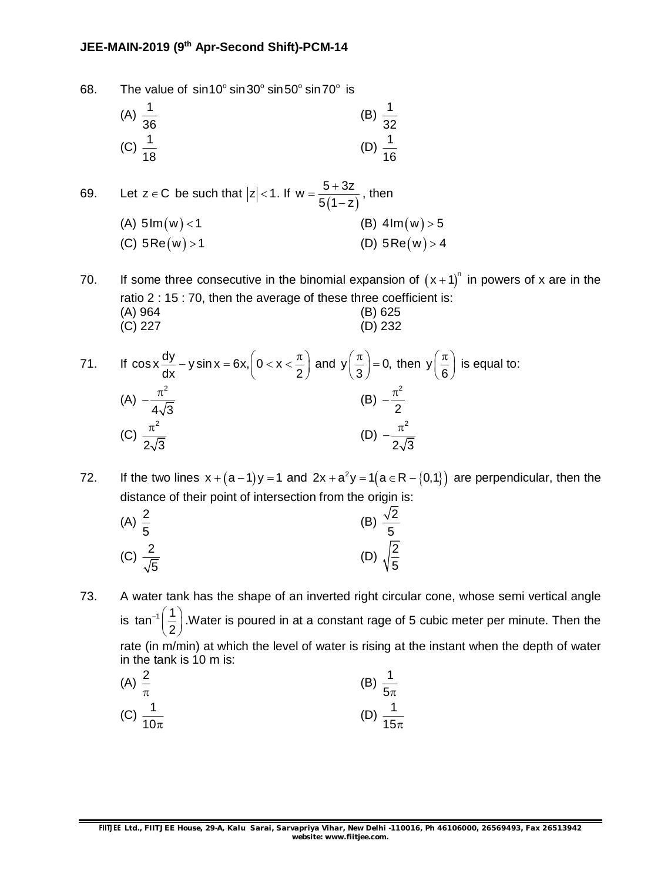#### **JEE-MAIN-2019 (9th Apr-Second Shift)-PCM-14**

68. The value of  $sin 10^\circ sin 30^\circ sin 50^\circ sin 70^\circ$  is

(A) 
$$
\frac{1}{36}
$$
 (B)  $\frac{1}{32}$  (C)  $\frac{1}{18}$  (D)  $\frac{1}{16}$ 

69. Let  $z \in C$  be such that  $|z| < 1$ . If  $w = \frac{5 + 3z}{5(1 - z)}$  $5(1-z)$  $=\frac{5+}{7}$  $\overline{\phantom{0}}$ , then (A)  $5\text{Im}(w) < 1$  (B)  $4\text{Im}(w) > 5$ (C)  $5\text{Re}(w) > 1$  (D)  $5\text{Re}(w) > 4$ 

(C) 227 (D) 232

70. If some three consecutive in the binomial expansion of  $(x+1)^n$  in powers of x are in the ratio 2 : 15 : 70, then the average of these three coefficient is: (A) 964 (B) 625

71. If 
$$
\cos x \frac{dy}{dx} - y \sin x = 6x
$$
,  $\left(0 < x < \frac{\pi}{2}\right)$  and  $y\left(\frac{\pi}{3}\right) = 0$ , then  $y\left(\frac{\pi}{6}\right)$  is equal to:  
\n(A)  $-\frac{\pi^2}{4\sqrt{3}}$   
\n(B)  $-\frac{\pi^2}{2}$   
\n(C)  $\frac{\pi^2}{2\sqrt{3}}$   
\n(D)  $-\frac{\pi^2}{2\sqrt{3}}$ 

72. If the two lines  $x + (a-1)y = 1$  and  $2x + a^2y = 1(a \in R - \{0,1\})$  are perpendicular, then the distance of their point of intersection from the origin is:

(A) 
$$
\frac{2}{5}
$$
 (B)  $\frac{\sqrt{2}}{5}$   
(C)  $\frac{2}{\sqrt{5}}$  (D)  $\sqrt{\frac{2}{5}}$ 

73. A water tank has the shape of an inverted right circular cone, whose semi vertical angle is tan<sup>-1</sup> $\left(\frac{1}{2}\right)$ .' 2 .Water is poured in at a constant rage of 5 cubic meter per minute. Then the rate (in m/min) at which the level of water is rising at the instant when the depth of water in the tank is 10 m is:

(A) 
$$
\frac{2}{\pi}
$$
 \t\t (B)  $\frac{1}{5\pi}$   
(C)  $\frac{1}{10\pi}$  \t\t (D)  $\frac{1}{15\pi}$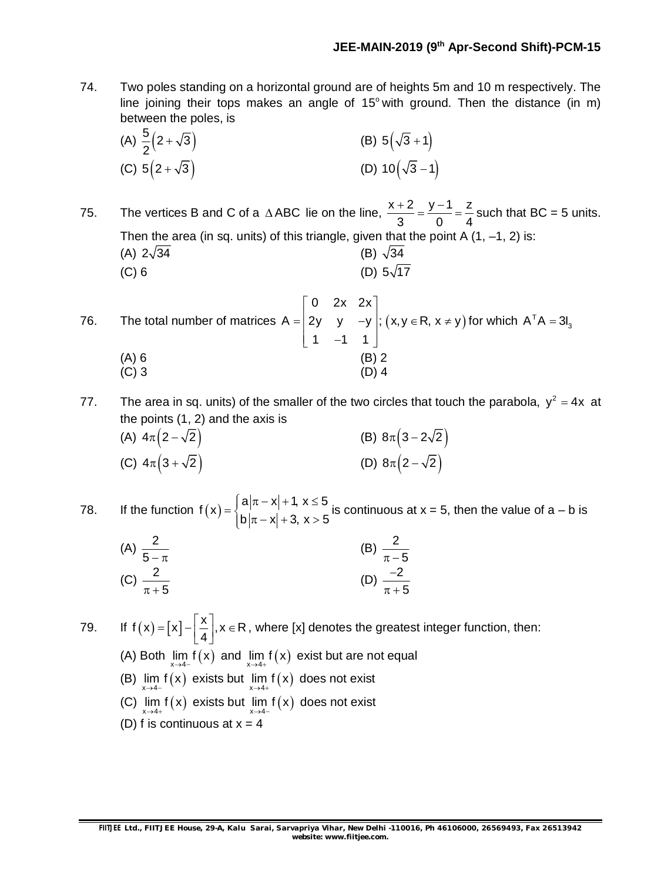74. Two poles standing on a horizontal ground are of heights 5m and 10 m respectively. The line joining their tops makes an angle of  $15^{\circ}$  with ground. Then the distance (in m) between the poles, is

(A) 
$$
\frac{5}{2}(2+\sqrt{3})
$$
 (B)  $5(\sqrt{3}+1)$   
(C)  $5(2+\sqrt{3})$  (D)  $10(\sqrt{3}-1)$ 

75. The vertices B and C of a  $\triangle$  ABC lie on the line,  $\frac{x+2}{2} = \frac{y-1}{2} = \frac{z}{4}$ 3 0 4  $\frac{+2}{5} = \frac{y-1}{2} = \frac{z}{4}$  such that BC = 5 units. Then the area (in sq. units) of this triangle, given that the point A  $(1, -1, 2)$  is: (A)  $2\sqrt{34}$  (B)  $\sqrt{34}$ (C) 6 (D)  $5\sqrt{17}$ 

76. The total number of matrices  $\begin{vmatrix} 0 & 2x & 2x \end{vmatrix}$  $=$  2y y -y |;  $\begin{bmatrix} 1 & -1 & 1 \end{bmatrix}$ 0 2x 2x  $A = | 2y y - y |;$  $1 -1 1$  $(x, y \in R, x \neq y)$  for which  $A<sup>T</sup>A = 3I<sub>3</sub>$  $(A) 6$  (B) 2  $(C)$  3 (D) 4

77. The area in sq. units) of the smaller of the two circles that touch the parabola,  $y^2 = 4x$  at the points (1, 2) and the axis is (A)  $4\pi (2-\sqrt{2})$  (B)  $8\pi (3-2\sqrt{2})$ (C)  $4\pi(3+\sqrt{2})$  (D)  $8\pi(2-\sqrt{2})$ 

78. If the function  $f(x) = \begin{cases} a|\pi - x| + 1, x \leq b, \\ b, b, c, c, d \end{cases}$  $=\{$  $|b|\pi - x| + 3, x > 9$  $a|\pi - x| + 1, x \leq 5$ f (  $\mathsf{x}$  )  $b|\pi - x| + 3, x > 5$ is continuous at  $x = 5$ , then the value of  $a - b$  is

(A) 
$$
\frac{2}{5-\pi}
$$
   
\n(B)  $\frac{2}{\pi-5}$    
\n(C)  $\frac{2}{\pi+5}$    
\n(D)  $\frac{-2}{\pi+5}$ 

79. If  $f(x) = [x] - \left[ \frac{x}{4} \right], x \in R$ 4 , where [x] denotes the greatest integer function, then: (A) Both  $\lim_{x\to 4^-} f(x)$  and  $\lim_{x\to 4^+} f(x)$  exist but are not equal (B)  $\lim_{x\to 4^-} f(x)$  exists but  $\lim_{x\to 4^+} f(x)$  does not exist (C)  $\lim_{x \to 4+} f(x)$  exists but  $\lim_{x \to 4-} f(x)$  does not exist (D) f is continuous at  $x = 4$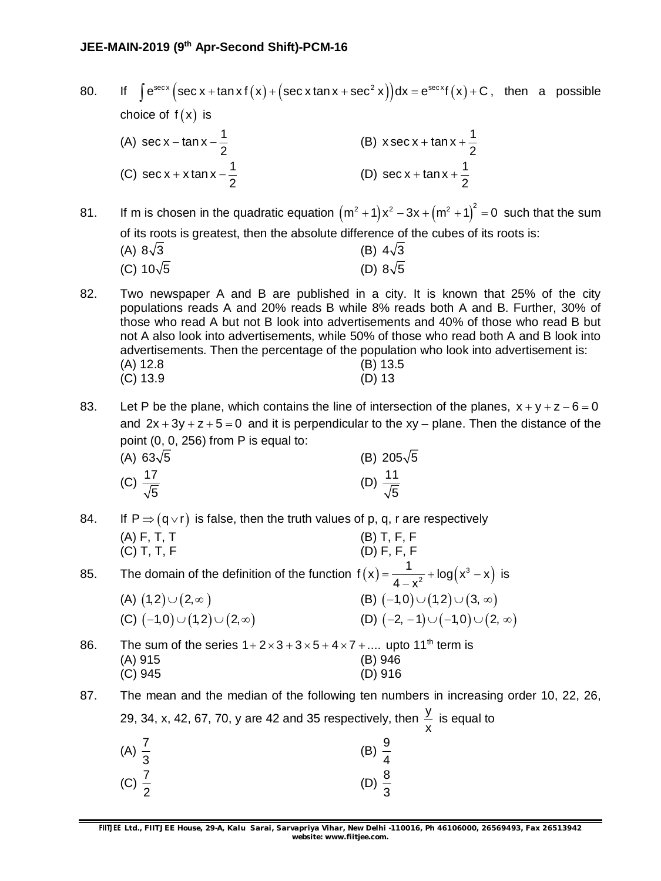80. If  $\int e^{\sec x} (\sec x + \tan x f(x) + (\sec x \tan x + \sec^2 x)) dx = e^{\sec x} f(x) + C$ , then a possible choice of  $f(x)$  is (A) sec x – tan x –  $\frac{1}{2}$ 2  $-$  tan x  $-\frac{1}{2}$  (B) x sec x + tan x +  $\frac{1}{2}$ 2  $+$  tan x  $+$  -(C) sec x + x tan x  $-\frac{1}{2}$ 2 + x tan x -  $\frac{1}{6}$  (D) sec x + tan x +  $\frac{1}{6}$ 2  $+$  tan x + -

81. If m is chosen in the quadratic equation  $(m^2 + 1)x^2 - 3x + (m^2 + 1)^2 = 0$  such that the sum of its roots is greatest, then the absolute difference of the cubes of its roots is: (A)  $8\sqrt{3}$  (B)  $4\sqrt{3}$ 

(C) 
$$
10\sqrt{5}
$$
 (D)  $8\sqrt{5}$ 

82. Two newspaper A and B are published in a city. It is known that 25% of the city populations reads A and 20% reads B while 8% reads both A and B. Further, 30% of those who read A but not B look into advertisements and 40% of those who read B but not A also look into advertisements, while 50% of those who read both A and B look into advertisements. Then the percentage of the population who look into advertisement is: (A) 12.8 (B) 13.5 (C) 13.9 (D) 13

83. Let P be the plane, which contains the line of intersection of the planes,  $x + y + z - 6 = 0$ and  $2x + 3y + z + 5 = 0$  and it is perpendicular to the xy – plane. Then the distance of the point (0, 0, 256) from P is equal to:

| (A) $63\sqrt{5}$          | (B) $205\sqrt{5}$         |
|---------------------------|---------------------------|
| (C) $\frac{17}{\sqrt{5}}$ | (D) $\frac{11}{\sqrt{5}}$ |

84. If  $P \Rightarrow (q \vee r)$  is false, then the truth values of p, q, r are respectively (A) F, T, T (B) T, F, F (C) T, T, F (D) F, F, F

85. The domain of the definition of the function  $f(x) = \frac{1}{4x^2} + \log(x^3 - x)$ 2  $f(x) = \frac{1}{1-x^2} + \log(x^3 - x)$  $4 - x^2$  $=\frac{1}{1-z} + \log(x^3 - x)$  $\overline{\phantom{a}}$ is

| (A) $(1,2)\cup(2,\infty)$               | (B) $(-1,0) \cup (1,2) \cup (3, \infty)$     |
|-----------------------------------------|----------------------------------------------|
| (C) $(-1,0) \cup (1,2) \cup (2,\infty)$ | (D) $(-2, -1) \cup (-1, 0) \cup (2, \infty)$ |

86. The sum of the series  $1+2\times3+3\times5+4\times7+...$  upto 11<sup>th</sup> term is (A) 915 (B) 946 (C) 945 (D) 916

87. The mean and the median of the following ten numbers in increasing order 10, 22, 26, 29, 34, x, 42, 67, 70, y are 42 and 35 respectively, then  $\frac{y}{4}$ x is equal to

| (A) $\frac{7}{3}$ | $\frac{9}{4}$<br>(B)                   |
|-------------------|----------------------------------------|
| (C) $\frac{7}{2}$ | $\frac{8}{1}$<br>(D)<br>$\overline{z}$ |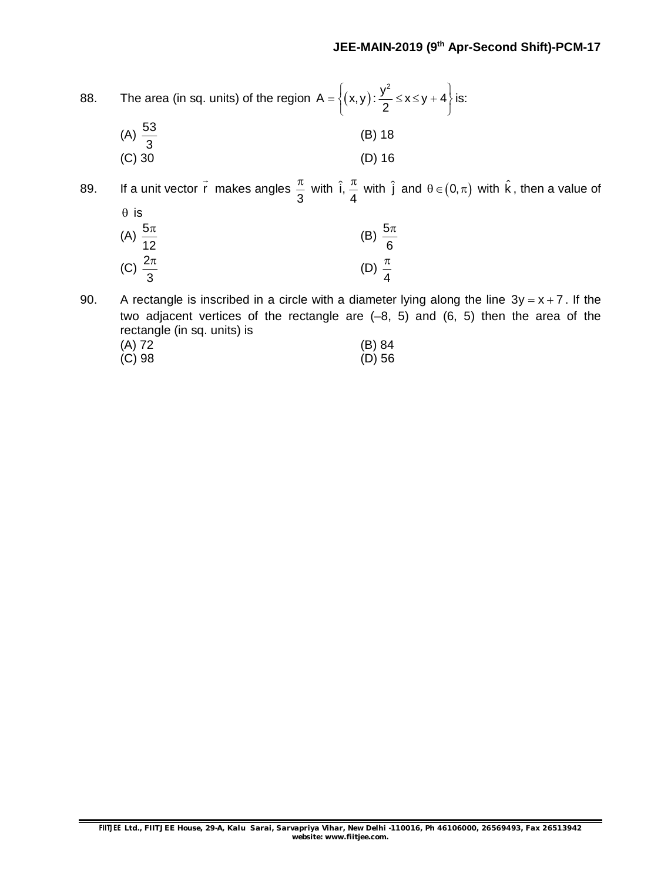| 88. | The area (in sq. units) of the region $A = \left\{ (x,y) : \frac{y^2}{2} \le x \le y + 4 \right\}$ is:                                                                                                                   |                                                                                                                                                                    |  |
|-----|--------------------------------------------------------------------------------------------------------------------------------------------------------------------------------------------------------------------------|--------------------------------------------------------------------------------------------------------------------------------------------------------------------|--|
|     | (A) $\frac{53}{3}$                                                                                                                                                                                                       | (B) 18                                                                                                                                                             |  |
|     | $(C)$ 30                                                                                                                                                                                                                 | (D) 16                                                                                                                                                             |  |
| 89. |                                                                                                                                                                                                                          | If a unit vector $\vec{r}$ makes angles $\frac{\pi}{3}$ with $\hat{i}$ , $\frac{\pi}{4}$ with $\hat{j}$ and $\theta \in (0, \pi)$ with $\hat{k}$ , then a value of |  |
|     | $\theta$ is                                                                                                                                                                                                              |                                                                                                                                                                    |  |
|     | (A) $\frac{5\pi}{12}$                                                                                                                                                                                                    | (B) $\frac{5\pi}{6}$                                                                                                                                               |  |
|     | (C) $\frac{2\pi}{3}$                                                                                                                                                                                                     | (D) $\frac{\pi}{4}$                                                                                                                                                |  |
| 90. | A rectangle is inscribed in a circle with a diameter lying along the line $3y = x + 7$ . If the<br>two adjacent vertices of the rectangle are $(-8, 5)$ and $(6, 5)$ then the area of the<br>rectangle (in sq. units) is |                                                                                                                                                                    |  |
|     | $(A)$ 72                                                                                                                                                                                                                 | (B) 84                                                                                                                                                             |  |
|     | $(C)$ 98                                                                                                                                                                                                                 | (D) 56                                                                                                                                                             |  |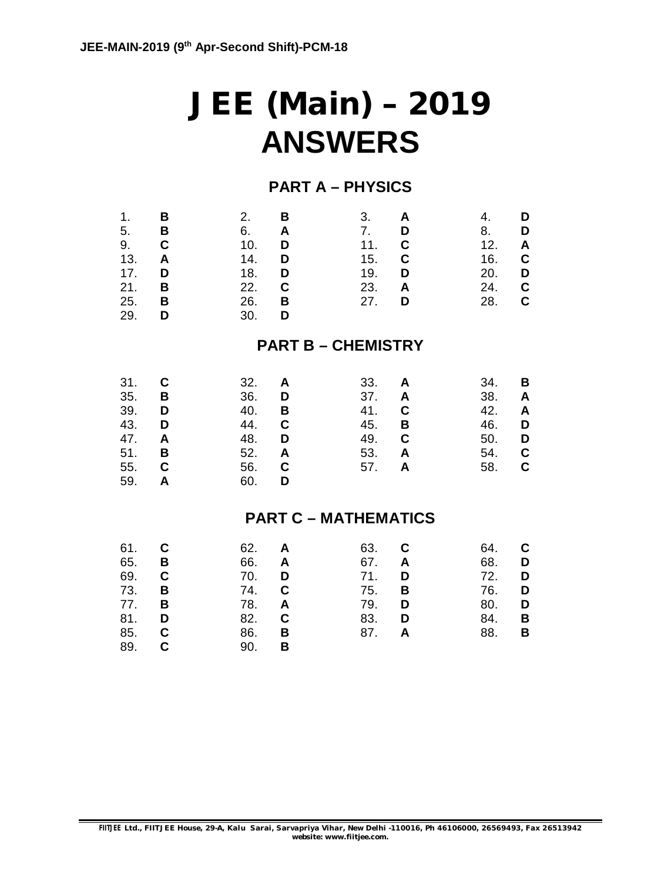# **JEE (Main) – 2019 ANSWERS**

### **PART A – PHYSICS**

| 1.<br>5.<br>9.<br>13.<br>17.<br>21.<br>25.<br>29.    | В<br>В<br>C<br>A<br>D<br>B<br>В<br>D | 2.<br>6.<br>10.<br>14.<br>18.<br>22.<br>26.<br>30.   | В<br>A<br>D<br>D<br>D<br>C<br>B<br>D | 3.<br>7.<br>11.<br>15.<br>19.<br>23.<br>27.   | A<br>D<br>C<br>C<br>D<br>A<br>D           | 4.<br>8.<br>12.<br>16.<br>20.<br>24.<br>28.   | D<br>D<br>Α<br>C<br>D<br>C<br>$\mathbf C$ |
|------------------------------------------------------|--------------------------------------|------------------------------------------------------|--------------------------------------|-----------------------------------------------|-------------------------------------------|-----------------------------------------------|-------------------------------------------|
|                                                      |                                      |                                                      |                                      | <b>PART B - CHEMISTRY</b>                     |                                           |                                               |                                           |
| 31.<br>35.<br>39.<br>43.<br>47.<br>51.<br>55.<br>59. | C<br>В<br>D<br>D<br>A<br>В<br>C<br>A | 32.<br>36.<br>40.<br>44.<br>48.<br>52.<br>56.<br>60. | A<br>D<br>В<br>C<br>D<br>A<br>C<br>D | 33.<br>37.<br>41.<br>45.<br>49.<br>53.<br>57. | A<br>A<br>C<br>B<br>$\mathbf c$<br>A<br>A | 34.<br>38.<br>42.<br>46.<br>50.<br>54.<br>58. | В<br>A<br>A<br>D<br>D<br>C<br>C           |
|                                                      |                                      |                                                      |                                      | <b>PART C - MATHEMATICS</b>                   |                                           |                                               |                                           |
| 61.<br>65.<br>69.<br>73.<br>77.<br>81.<br>85.<br>89. | С<br>В<br>C<br>В<br>B<br>D<br>C<br>C | 62.<br>66.<br>70.<br>74.<br>78.<br>82.<br>86.<br>90. | A<br>A<br>D<br>C<br>A<br>C<br>В<br>B | 63.<br>67.<br>71.<br>75.<br>79.<br>83.<br>87. | C<br>A<br>D<br>В<br>D<br>D<br>A           | 64.<br>68.<br>72.<br>76.<br>80.<br>84.<br>88. | С<br>D<br>D<br>D<br>D<br>В<br>В           |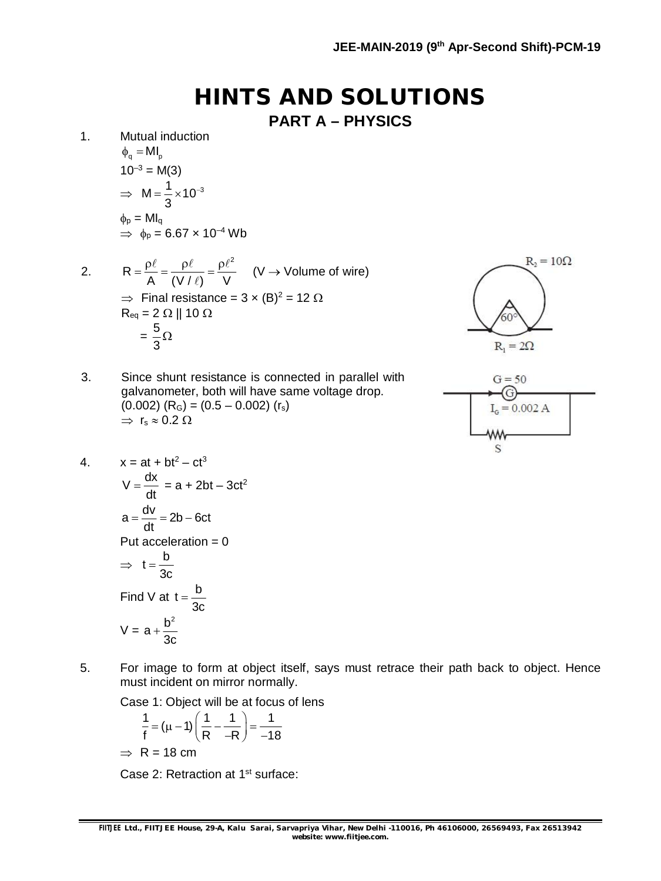**HINTS AND SOLUTIONS**

**PART A – PHYSICS**

- 1. Mutual induction  $\phi_{\alpha} = MI_{\alpha}$  $10^{-3}$  = M(3)  $\Rightarrow M = \frac{1}{2} \times 10^{-3}$ 3  $=\frac{1}{2} \times 10^{-7}$  $\phi_{\rm p} = M I_{\rm q}$  $\psi_p$  =  $\psi_q$ <br>  $\Rightarrow \phi_p$  = 6.67 × 10<sup>-4</sup> Wb
- 2. 2 R A (V / ℓ) V  $=\frac{\rho\ell}{\Lambda}=\frac{\rho\ell}{\Delta t+\Omega}=\frac{\rho\ell^2}{\Lambda t}$  $\ell$ (V  $\rightarrow$  Volume of wire)  $\Rightarrow$  Final resistance = 3 x (B)<sup>2</sup> = 12  $\Omega$  $R_{\text{eq}} = 2 \Omega || 10 \Omega$  $=\frac{5}{3}$ 3 Ω

3. Since shunt resistance is connected in parallel with galvanometer, both will have same voltage drop.

 $(0.002)$   $(R<sub>G</sub>) = (0.5 - 0.002)$   $(r<sub>s</sub>)$ 



 $G = 50$ G  $I<sub>g</sub> = 0.002 A$ S

4.  $x = at + bt^2 - ct^3$  $V = \frac{dx}{dt}$ dt  $=\frac{ux}{u} = a + 2bt - 3ct^2$  $a = \frac{dv}{dt} = 2b - 6ct$ dt  $=\frac{dv}{dt} = 2b - 6$ Put acceleration  $= 0$  $\Rightarrow t = \frac{b}{2}$ 3c  $=$ Find V at  $t = \frac{b}{2}$ 3c  $=$  $V = a + \frac{b^2}{2}$ 3c  $\ddot{}$ 

 $\Rightarrow$  r<sub>s</sub>  $\approx$  0.2  $\Omega$ 

5. For image to form at object itself, says must retrace their path back to object. Hence must incident on mirror normally.

Case 1: Object will be at focus of lens

$$
\frac{1}{f} = (\mu - 1) \left( \frac{1}{R} - \frac{1}{-R} \right) = \frac{1}{-18}
$$
  
\n
$$
\Rightarrow R = 18 \text{ cm}
$$

Case 2: Retraction at 1<sup>st</sup> surface: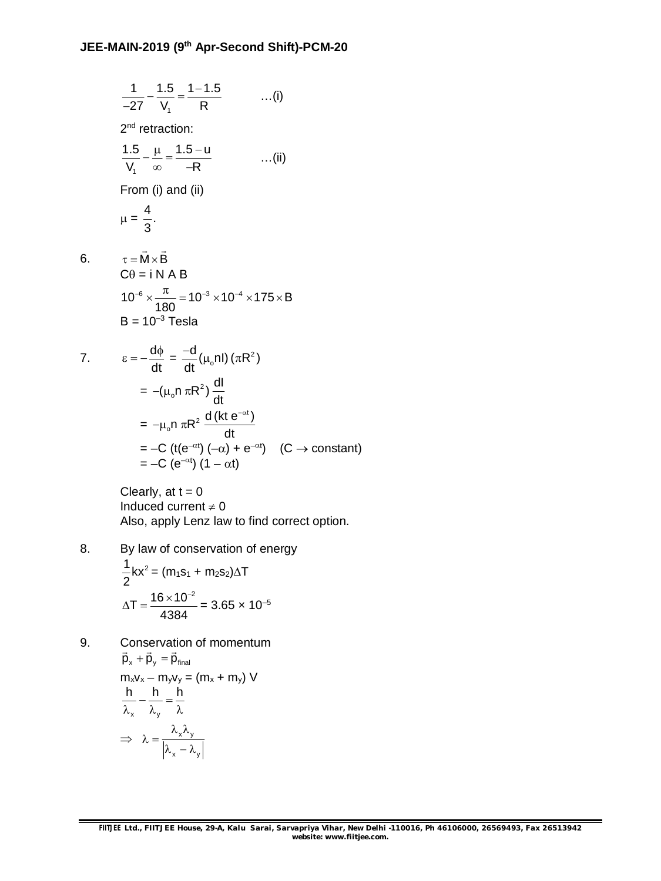$$
\frac{1}{-27} - \frac{1.5}{V_1} = \frac{1 - 1.5}{R}
$$
 ...(i)  
\n
$$
2^{nd} \text{ retraction:}
$$
  
\n
$$
\frac{1.5}{V_1} - \frac{\mu}{\infty} = \frac{1.5 - u}{-R}
$$
 ...(ii)  
\nFrom (i) and (ii)  
\n
$$
\mu = \frac{4}{3}.
$$
  
\n6.  $\tau = \vec{M} \times \vec{B}$   
\n $C\theta = i \text{ N } A \text{ B}$   
\n $10^{-6} \times \frac{\pi}{180} = 10^{-3} \times 10^{-4} \times 175 \times B$   
\n $B = 10^{-3} \text{ Tesla}$   
\n7.  $\epsilon = -\frac{d\phi}{dt} = -\frac{d}{dt} (\mu_o n I) (\pi R^2)$ 

 $6.$ 

$$
\varepsilon = -\frac{d\mathbf{r}}{dt} = \frac{d\mathbf{r}}{dt} (\mu_0 \ln(\pi \mathbf{R})
$$
  
=  $-(\mu_0 n \pi \mathbf{R}^2) \frac{d\mathbf{R}}{dt}$   
=  $-\mu_0 n \pi \mathbf{R}^2 \frac{d(\mathbf{R} \mathbf{t} e^{-\alpha \mathbf{t}})}{dt}$   
=  $-C (\mathbf{t} (e^{-\alpha \mathbf{t}}) (-\alpha) + e^{-\alpha \mathbf{t}}) \quad (C \to \text{constant})$   
=  $-C (e^{-\alpha \mathbf{t}}) (1 - \alpha \mathbf{t})$ 

Clearly, at  $t = 0$ Induced current  $\neq 0$ Also, apply Lenz law to find correct option.

8. By law of conservation of energy  $\frac{1}{2}$ kx<sup>2</sup> 2  $=(m_1s_1 + m_2s_2)\Delta T$ 

$$
\Delta T = \frac{16 \times 10^{-2}}{4384} = 3.65 \times 10^{-5}
$$

9. Conservation of momentum  $\vec{p}_x + \vec{p}_y = \vec{p}_{final}$  $\frac{1}{2}$ UIIS<del>C</del>IVAIIC  $m_xv_x - m_yv_y = (m_x + m_y)$  V  $x'$  y  $\frac{h}{h} - \frac{h}{h} = \frac{h}{h}$  $\lambda_x$   $\lambda_y$   $\lambda$  $\Rightarrow \lambda = \frac{\lambda}{\lambda}$ x y  $\lambda_{\sf x}\lambda_{\sf v}$  $\lambda =$  T  $\lambda_{\mathsf{x}} - \lambda_{\mathsf{y}}$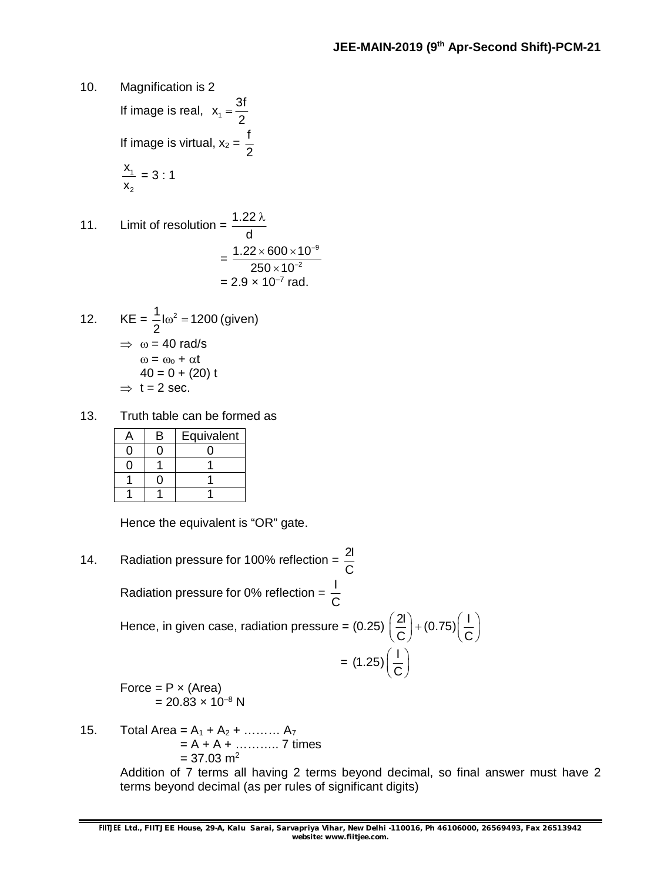10. Magnification is 2 If image is real,  $x_1 = \frac{3f}{2}$ 2  $=$ If image is virtual,  $x_2 = \frac{f}{f}$ 2 1 2 x x  $= 3 : 1$ 

11. Limit of resolution = 
$$
\frac{1.22 \lambda}{d}
$$

$$
= \frac{1.22 \times 600 \times 10^{-9}}{250 \times 10^{-2}}
$$

$$
= 2.9 \times 10^{-7} \text{ rad.}
$$

12. 
$$
KE = \frac{1}{2} \ln^2 = 1200 \text{ (given)}
$$

$$
\Rightarrow \omega = 40 \text{ rad/s}
$$

$$
\omega = \omega_0 + \alpha t
$$

$$
40 = 0 + (20) t
$$

$$
\Rightarrow t = 2 \text{ sec.}
$$

13. Truth table can be formed as

| B | Equivalent |
|---|------------|
|   |            |
|   |            |
|   |            |
|   |            |

Hence the equivalent is "OR" gate.

- 14. Radiation pressure for 100% reflection =  $\frac{21}{6}$ C Radiation pressure for 0% reflection =  $\frac{1}{6}$ C Hence, in given case, radiation pressure = (0.25)  $\left(\frac{2l}{2}\right)$  + (0.75)  $\left(\frac{l}{2}\right)$  $C)$   $(C - C)$  $\left(\frac{2I}{C}\right)$  + (0.75) $\left(\frac{I}{C}\right)$  $= (1.25) \left( \frac{1}{6} \right)$  $\left(\frac{1}{C}\right)$ Force =  $P \times (Area)$  $= 20.83 \times 10^{-8}$  N
- 15. Total Area =  $A_1 + A_2 + \dots + A_7$  $= A + A + \dots + Z$  times  $= 37.03$  m<sup>2</sup>

Addition of 7 terms all having 2 terms beyond decimal, so final answer must have 2 terms beyond decimal (as per rules of significant digits)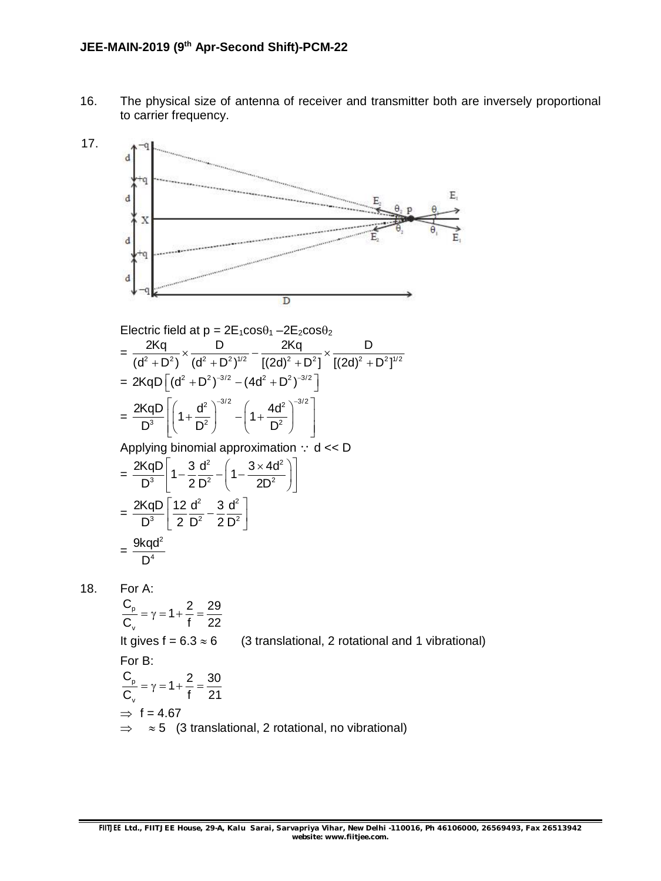16. The physical size of antenna of receiver and transmitter both are inversely proportional to carrier frequency.



 $\frac{C_{\text{p}}}{2} = \gamma = 1 + \frac{2}{1} = \frac{29}{22}$ v  $C_v$  f 22  $=\gamma = 1 + \frac{\pi}{6} = \frac{1}{2}$ It gives  $f = 6.3 \approx 6$  (3 translational, 2 rotational and 1 vibrational) For B: p v  $\frac{C_{\text{p}}}{2} = \gamma = 1 + \frac{2}{1} = \frac{30}{21}$  $C_v$  f 21  $=\gamma = 1 + \frac{\pi}{6} = \frac{3\pi}{6}$  $\Rightarrow$  f = 4.67  $\Rightarrow$   $\approx$  5 (3 translational, 2 rotational, no vibrational)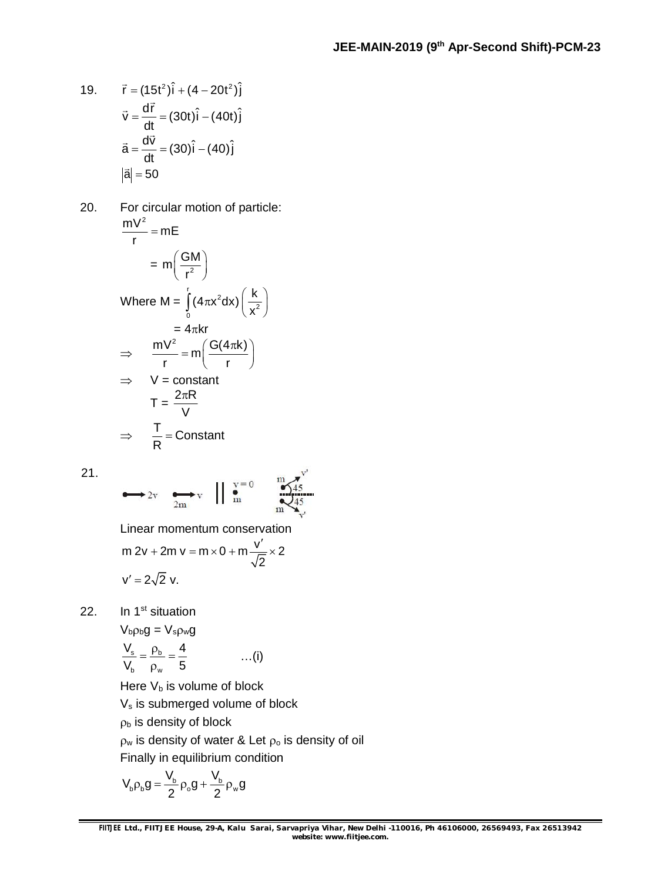19. 
$$
\vec{r} = (15t^2)\hat{i} + (4 - 20t^2)\hat{j}
$$
  
\n
$$
\vec{v} = \frac{d\vec{r}}{dt} = (30t)\hat{i} - (40t)\hat{j}
$$
\n
$$
\vec{a} = \frac{d\vec{v}}{dt} = (30)\hat{i} - (40)\hat{j}
$$
\n
$$
|\vec{a}| = 50
$$

20. For circular motion of particle:  $\frac{mV^2}{m}$  = mE r  $=$  $= m \left( \frac{GM}{r^2} \right)$  $\left(\frac{GM}{r^2}\right)^n$ Where M =  $\int (1 - x^2)$  $\int_{0}^{\infty}$   $(x^2)$  $(4\pi x^2 dx) \left( \frac{k}{2} \right)$ x  $\int_{0}^{1} (4\pi x^2 dx) \left(\frac{k}{x^2}\right)^{3}$  $= 4\pi kr$  $\Rightarrow mV^2 = m\left(\frac{G(4\pi k)}{2}\right)$ r r  $= m \left( \frac{G(4\pi k)}{r} \right)$  $\Rightarrow$  V = constant  $T = \frac{2\pi R}{v}$ V  $\pi$  $\Rightarrow$   $\frac{T}{B}$  = Constant  $=$ 

21.

$$
\longrightarrow 2v \quad \longrightarrow_{2m} v \quad || \quad \overset{v=0}{m} \quad \overset{m}{\underset{m}{\bigotimes}} \overset{m}{45}
$$

Linear momentum conservation m 2v + 2m v = m  $\times$  0 + m  $\frac{v'}{\sqrt{2}}$   $\times$  2 2 + 2m v = m × 0 + m  $\frac{V'}{\sqrt{2}}$  × 2

$$
v'=2\sqrt{2} v.
$$

R

22. In 1<sup>st</sup> situation

$$
V_{b}\rho_{b}g = V_{s}\rho_{w}g
$$
  

$$
\frac{V_{s}}{V_{b}} = \frac{\rho_{b}}{\rho_{w}} = \frac{4}{5}
$$
 ...(i)

Here  $V_b$  is volume of block

V<sub>s</sub> is submerged volume of block

 $p<sub>b</sub>$  is density of block

 $\rho_w$  is density of water & Let  $\rho_o$  is density of oil Finally in equilibrium condition

$$
V_b\rho_b g=\frac{V_b}{2}\rho_o g+\frac{V_b}{2}\rho_w g
$$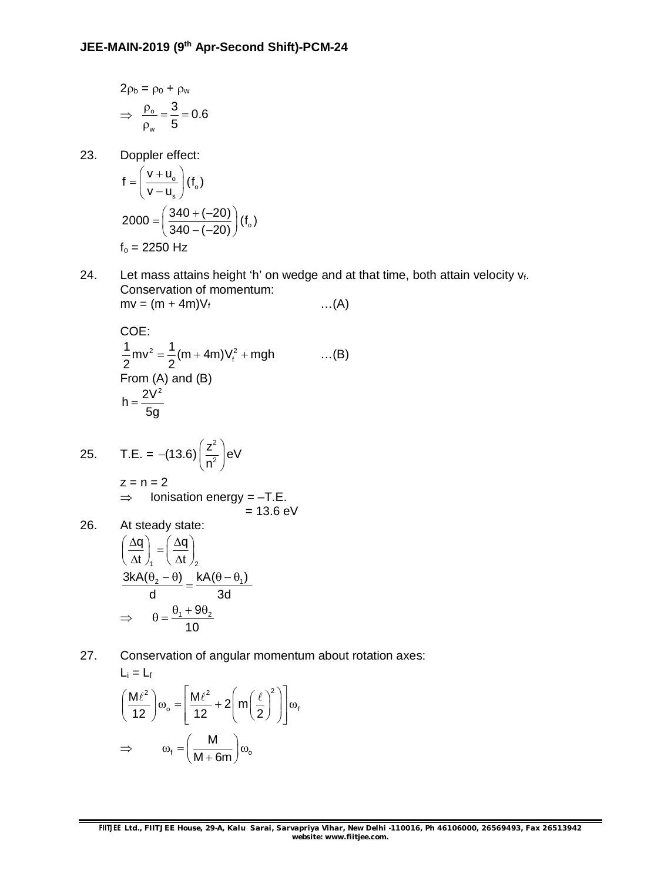$$
2\rho_b = \rho_0 + \rho_w
$$

$$
\Rightarrow \frac{\rho_o}{\rho_w} = \frac{3}{5} = 0.6
$$

23. Doppler effect:

$$
f = \left(\frac{v + u_o}{v - u_s}\right)(f_o)
$$
  
2000 =  $\left(\frac{340 + (-20)}{340 - (-20)}\right)(f_o)$   
f<sub>o</sub> = 2250 Hz

24. Let mass attains height 'h' on wedge and at that time, both attain velocity  $v_f$ . Conservation of momentum:  $mv = (m + 4m)V_f$  ...(A)

COE:  
\n
$$
\frac{1}{2}mv^2 = \frac{1}{2}(m + 4m)V_f^2 + mgh
$$
 ...(B)  
\nFrom (A) and (B)  
\n $h = \frac{2V^2}{5g}$ 

25. T.E. = -(13.6) 
$$
\left(\frac{z^2}{n^2}\right)
$$
 eV  
\nz = n = 2  
\n⇒ Ionisation energy = -T.E.  
\n= 13.6 eV

26. At steady state:  
\n
$$
\left(\frac{\Delta q}{\Delta t}\right)_1 = \left(\frac{\Delta q}{\Delta t}\right)_2
$$
\n
$$
\frac{3kA(\theta_2 - \theta)}{d} = \frac{kA(\theta - \theta_1)}{3d}
$$
\n
$$
\Rightarrow \quad \theta = \frac{\theta_1 + 9\theta_2}{10}
$$

27. Conservation of angular momentum about rotation axes:  $L = L$ 

$$
\left(\frac{M\ell^2}{12}\right)\omega_o = \left[\frac{M\ell^2}{12} + 2\left(m\left(\frac{\ell}{2}\right)^2\right)\right]\omega_t
$$
  
\n
$$
\Rightarrow \qquad \omega_t = \left(\frac{M}{M + 6m}\right)\omega_o
$$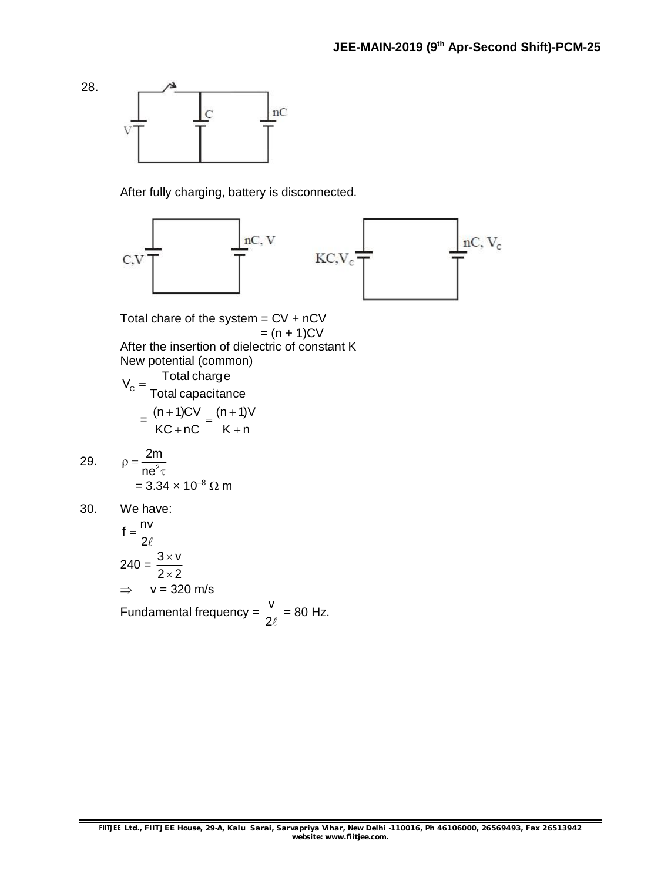

After fully charging, battery is disconnected.



Total chare of the system  $=$  CV  $+$  nCV  $= (n + 1)CV$ After the insertion of dielectric of constant K New potential (common)

$$
V_{c} = \frac{\text{Total charge}}{\text{Total capacitance}}
$$

$$
= \frac{(n+1)CV}{KC + nC} = \frac{(n+1)V}{K + n}
$$

29. 
$$
\rho = \frac{2m}{ne^2 \tau} = 3.34 \times 10^{-8} \Omega m
$$

30. We have:

$$
f = \frac{nv}{2\ell}
$$
  
240 =  $\frac{3 \times v}{2 \times 2}$   
 $\Rightarrow$  v = 320 m/s  
Fundamental frequency =  $\frac{v}{2\ell}$  = 80 Hz.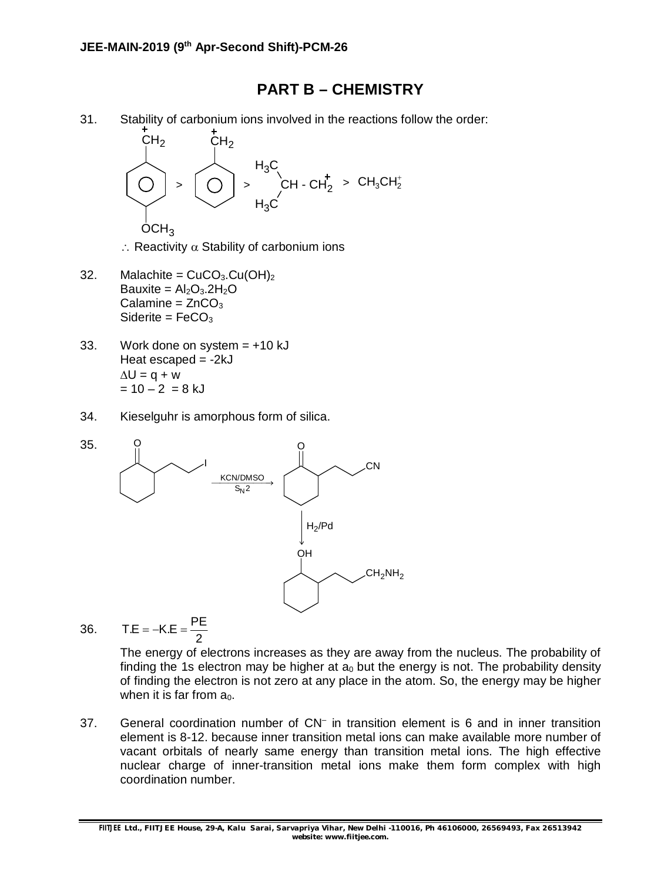#### **PART B – CHEMISTRY**

31. Stability of carbonium ions involved in the reactions follow the order:



 $\therefore$  Reactivity  $\alpha$  Stability of carbonium ions

- 32. Malachite =  $CuCO<sub>3</sub>.Cu(OH)<sub>2</sub>$ Bauxite =  $Al_2O_3.2H_2O$ Calamine =  $ZnCO<sub>3</sub>$ Siderite =  $FeCO<sub>3</sub>$
- 33. Work done on system  $= +10$  kJ Heat escaped  $= -2kJ$  $\Delta U = q + w$  $= 10 - 2 = 8$  kJ
- 34. Kieselguhr is amorphous form of silica.



36. 
$$
TE = -K.E = \frac{PE}{2}
$$

The energy of electrons increases as they are away from the nucleus. The probability of finding the 1s electron may be higher at  $a_0$  but the energy is not. The probability density of finding the electron is not zero at any place in the atom. So, the energy may be higher when it is far from  $a_0$ .

37. General coordination number of CN– in transition element is 6 and in inner transition element is 8-12. because inner transition metal ions can make available more number of vacant orbitals of nearly same energy than transition metal ions. The high effective nuclear charge of inner-transition metal ions make them form complex with high coordination number.

**FIITJEE** *Ltd., FIITJEE House, 29-A, Kalu Sarai, Sarvapriya Vihar, New Delhi -110016, Ph 46106000, 26569493, Fax 26513942 website: [www.fiitjee.com.](http://www.fiitjee.com.)*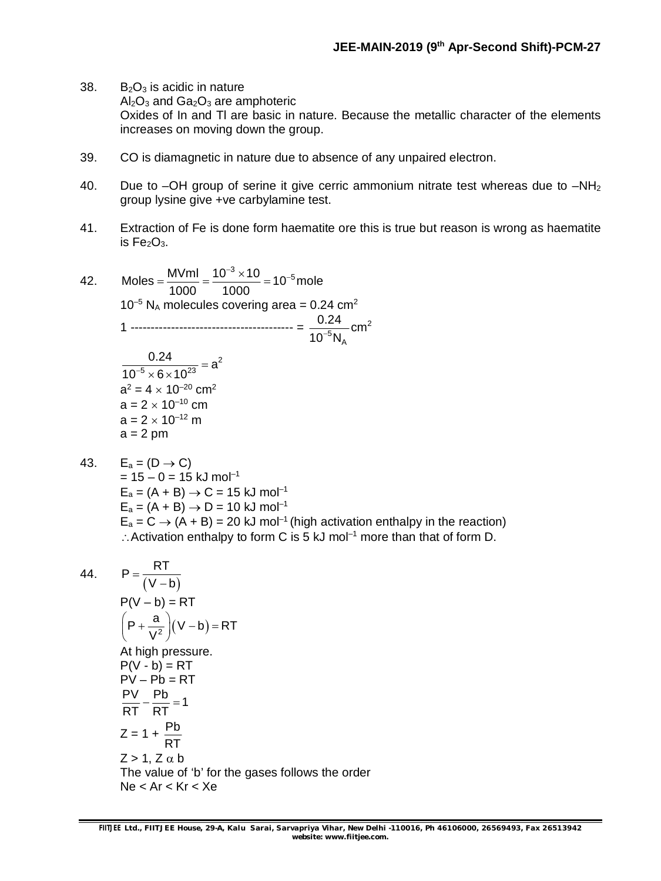- 38.  $B_2O_3$  is acidic in nature  $Al_2O_3$  and  $Ga_2O_3$  are amphoteric Oxides of In and Tl are basic in nature. Because the metallic character of the elements increases on moving down the group.
- 39. CO is diamagnetic in nature due to absence of any unpaired electron.
- 40. Due to –OH group of serine it give cerric ammonium nitrate test whereas due to  $-NH<sub>2</sub>$ group lysine give +ve carbylamine test.
- 41. Extraction of Fe is done form haematite ore this is true but reason is wrong as haematite is  $Fe<sub>2</sub>O<sub>3</sub>$ .
- 42. Moles =  $\frac{MVml}{1000} = \frac{10^{-3} \times 10}{1000} = 10^{-5}$  mole 1000 1000  $=\frac{MVml}{1000}=\frac{10^{-3}\times10}{1000}=10^{-7}$  $10^{-5}$  N<sub>A</sub> molecules covering area = 0.24 cm<sup>2</sup> 1 ---------------------------------------- = 2  $^5$ N $_{\rm \mathsf{\scriptscriptstyle A}}$  $\frac{0.24}{10^{-5} N_{\rm A}}$ cm 2  $5 \vee \textsf{c} \vee 10^{23}$  $\frac{0.24}{10^{-5} \times 6 \times 10^{23}}$  = a  $\times$  6  $\times$  1  $a^2 = 4 \times 10^{-20}$  cm<sup>2</sup>  $a = 2 \times 10^{-10}$  cm  $a = 2 \times 10^{-12}$  m  $a = 2$  pm
- 43.  $E_a = (D \rightarrow C)$  $= 15 - 0 = 15$  kJ mol<sup>-1</sup>  $E_a = (A + B) \rightarrow C = 15$  kJ mol<sup>-1</sup>  $E_a = (A + B) \rightarrow D = 10 \text{ kJ mol}^{-1}$  $E_a = C \rightarrow (A + B) = 20$  kJ mol<sup>-1</sup> (high activation enthalpy in the reaction)  $\therefore$  Activation enthalpy to form C is 5 kJ mol<sup>-1</sup> more than that of form D.

44. 
$$
P = \frac{RT}{(V - b)}
$$
  
\n
$$
P(V - b) = RT
$$
  
\n
$$
(P + \frac{a}{V^{2}})(V - b) = RT
$$
  
\nAt high pressure.  
\n
$$
P(V - b) = RT
$$
  
\n
$$
PV - Pb = RT
$$
  
\n
$$
\frac{PV}{RT} - \frac{Pb}{RT} = 1
$$
  
\n
$$
Z = 1 + \frac{Pb}{RT}
$$
  
\n
$$
Z > 1, Z \alpha b
$$
  
\nThe value of 'b' for the gases follows the order  
\n
$$
Ne < Ar < Kr < Xe
$$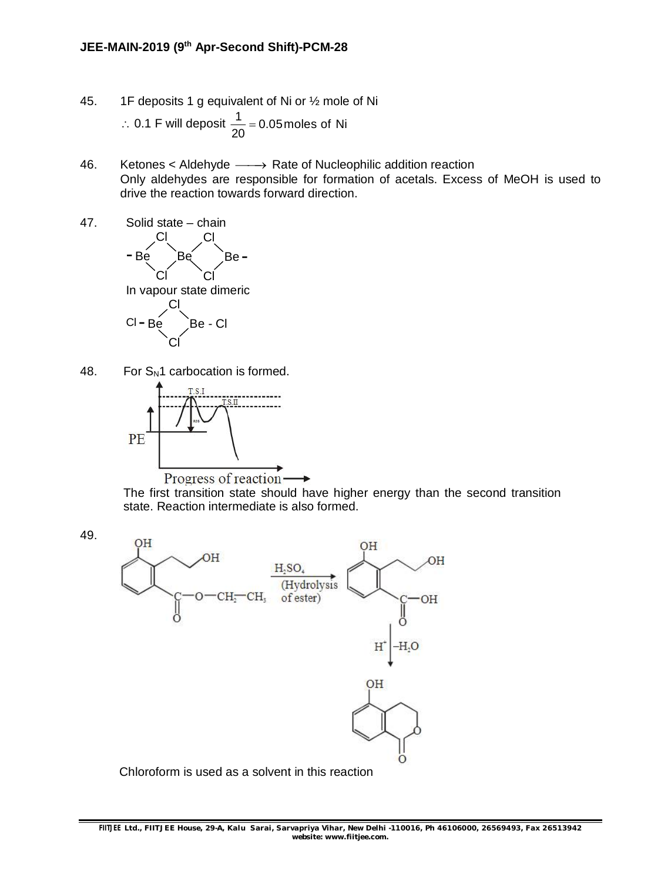- 45. 1F deposits 1 g equivalent of Ni or ½ mole of Ni ∴ 0.1 F will deposit  $\frac{1}{20}$  = 0.05 moles of Ni 20  $=$
- 46. Ketones < Aldehyde  $\longrightarrow$  Rate of Nucleophilic addition reaction Only aldehydes are responsible for formation of acetals. Excess of MeOH is used to drive the reaction towards forward direction.



48. For  $S_N1$  carbocation is formed.



The first transition state should have higher energy than the second transition state. Reaction intermediate is also formed.

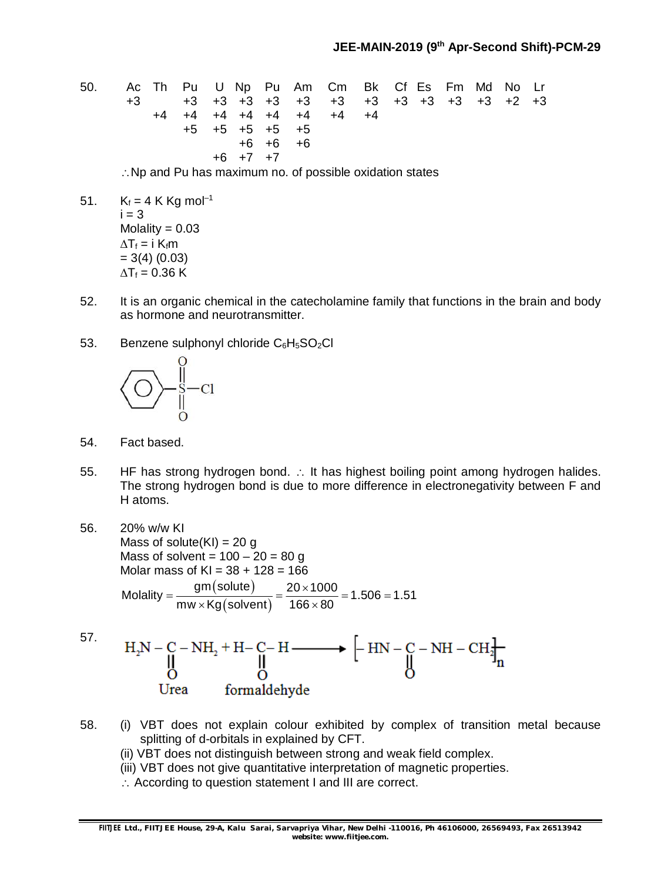50. Ac Th Pu U Np Pu Am Cm Bk Cf Es Fm Md No Lr +3 +3 +3 +3 +3 +3 +3 +3 +3 +3 +3 +3 +2 +3 +4 +4 +4 +4 +4 +4 +4 +4 +5 +5 +5 +5 +5 +6 +6 +6 +6 +7 +7

 $\therefore$  Np and Pu has maximum no. of possible oxidation states

- 51.  $K_f = 4$  K Kg mol<sup>-1</sup>  $i = 3$ Molality  $= 0.03$  $\Delta T_f = i K_f m$  $= 3(4) (0.03)$  $\Delta T_f = 0.36$  K
- 52. It is an organic chemical in the catecholamine family that functions in the brain and body as hormone and neurotransmitter.
- 53. Benzene sulphonyl chloride  $C_6H_5SO_2Cl$



- 54. Fact based.
- 55. HF has strong hydrogen bond. : It has highest boiling point among hydrogen halides. The strong hydrogen bond is due to more difference in electronegativity between F and H atoms.
- 56. 20% w/w KI Mass of solute $(KI) = 20$  g Mass of solvent =  $100 - 20 = 80$  g Molar mass of  $K = 38 + 128 = 166$ (solute) (solvent) Molality =  $\frac{gm (solute)}{1.500 \cdot 2.500}$  = 1.506 = 1.51 mw $\times$ Kg $($ solvent $)$  166 $\times$ 80  $=\frac{gm(solute)}{1000}=\frac{20\times1000}{100000}=1.506=1$  $\times$ Kg(solvent) 166 $\times$ 8
- 57.  $\rm H_2N-C-NH_2+H-C-H \xrightarrow{\qquad \qquad} \left[ -HN-C-NH-CH_2\right]_n \xrightarrow{\qquad \qquad}$ Urea formaldehyde
- 58. (i) VBT does not explain colour exhibited by complex of transition metal because splitting of d-orbitals in explained by CFT.
	- (ii) VBT does not distinguish between strong and weak field complex.
	- (iii) VBT does not give quantitative interpretation of magnetic properties.
	- $\therefore$  According to question statement I and III are correct.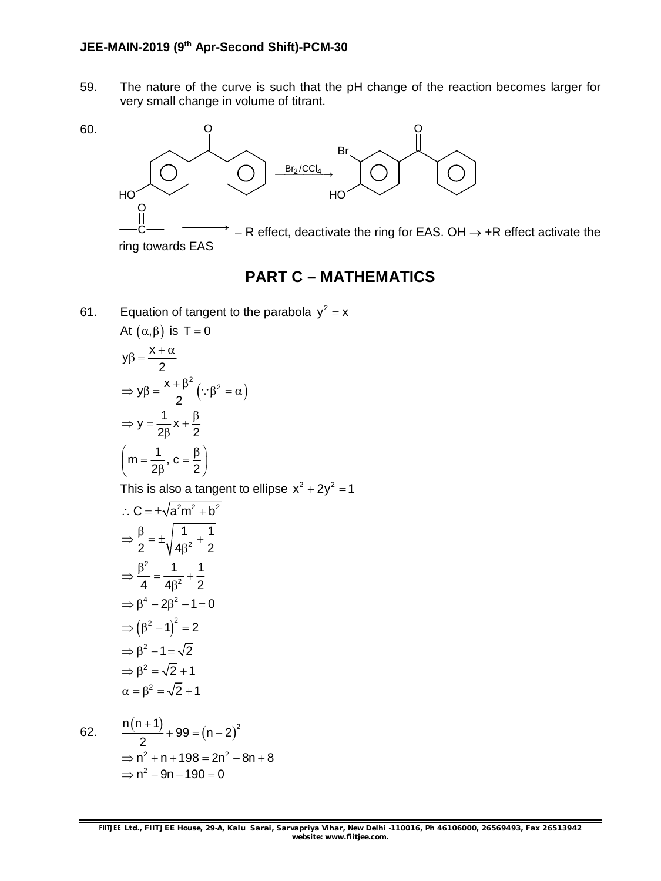59. The nature of the curve is such that the pH change of the reaction becomes larger for very small change in volume of titrant.



### **PART C – MATHEMATICS**

61. Equation of tangent to the parabola  $y^2 = x$ At  $(\alpha, \beta)$  is T = 0

$$
y\beta = \frac{x + \alpha}{2}
$$
  
\n
$$
\Rightarrow y\beta = \frac{x + \beta^2}{2} (\because \beta^2 = \alpha)
$$
  
\n
$$
\Rightarrow y = \frac{1}{2\beta} x + \frac{\beta}{2}
$$
  
\n
$$
\left(m = \frac{1}{2\beta}, c = \frac{\beta}{2}\right)
$$

This is also a tangent to ellipse  $x^2 + 2y^2 = 1$ 

$$
\therefore C = \pm \sqrt{a^2 m^2 + b^2}
$$
\n
$$
\Rightarrow \frac{\beta}{2} = \pm \sqrt{\frac{1}{4\beta^2} + \frac{1}{2}}
$$
\n
$$
\Rightarrow \frac{\beta^2}{4} = \frac{1}{4\beta^2} + \frac{1}{2}
$$
\n
$$
\Rightarrow \beta^4 - 2\beta^2 - 1 = 0
$$
\n
$$
\Rightarrow (\beta^2 - 1)^2 = 2
$$
\n
$$
\Rightarrow \beta^2 - 1 = \sqrt{2}
$$
\n
$$
\Rightarrow \beta^2 = \sqrt{2} + 1
$$
\n
$$
\alpha = \beta^2 = \sqrt{2} + 1
$$

62. 
$$
\frac{n(n+1)}{2} + 99 = (n-2)^2
$$

$$
\Rightarrow n^2 + n + 198 = 2n^2 - 8n + 8
$$

$$
\Rightarrow n^2 - 9n - 190 = 0
$$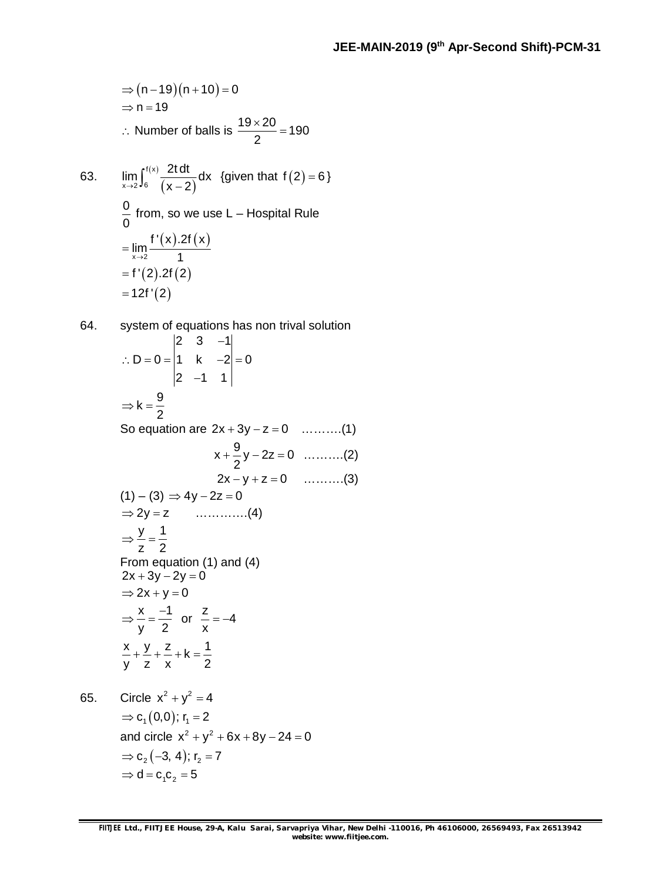$$
\Rightarrow (n-19)(n+10) = 0
$$
  
\n
$$
\Rightarrow n = 19
$$
  
\n
$$
\therefore \text{ Number of balls is } \frac{19 \times 20}{2} = 190
$$

63. 
$$
\lim_{x \to 2} \int_6^{f(x)} \frac{2t dt}{(x-2)} dx
$$
 {given that  $f(2) = 6$ }  
\n
$$
\frac{0}{0}
$$
 from, so we use L – Hospital Rule  
\n
$$
= \lim_{x \to 2} \frac{f'(x).2f(x)}{1}
$$
\n
$$
= f'(2).2f(2)
$$
\n
$$
= 12f'(2)
$$

64. system of equations has non trival solution 2  $3 -1$  $D = 0 = |1 \quad k \quad -2| = 0$  $2 -1 1$  $\overline{\phantom{a}}$  $\therefore$  D = 0 = |1 k -2| = 0  $\overline{\phantom{a}}$  $k = \frac{9}{3}$ 2  $\Rightarrow$  k =  $\frac{1}{2}$ So equation are  $2x + 3y - z = 0$  ..........(1)  $x + \frac{9}{2}y - 2z = 0$ 2  $+\frac{6}{6}y-2z=0$  ..........(2)  $2x - y + z = 0$  .........(3)  $(1) - (3) \Rightarrow 4y - 2z = 0$  $\Rightarrow$  2y = z …………..(4) y 1 z 2  $\Rightarrow$   $\frac{y}{x}$  = -From equation (1) and (4)  $2x + 3y - 2y = 0$  $\Rightarrow$  2x + y = 0  $x -1$ y 2  $\Rightarrow \frac{x}{2} = \frac{-1}{2}$  or  $\frac{z}{z} = -4$ x  $=-4$  $\frac{x}{-} + \frac{y}{-} + \frac{z}{-} + k = \frac{1}{2}$ y z x 2  $+2+2+1=$ 65. Circle  $x^2 + y^2 = 4$ 

 $\Rightarrow$  c<sub>1</sub>(0,0); r<sub>1</sub> = 2 and circle  $x^2 + y^2 + 6x + 8y - 24 = 0$  $\Rightarrow$  c<sub>2</sub> (-3, 4); r<sub>2</sub> = 7  $\Rightarrow$  d = c<sub>1</sub>c<sub>2</sub> = 5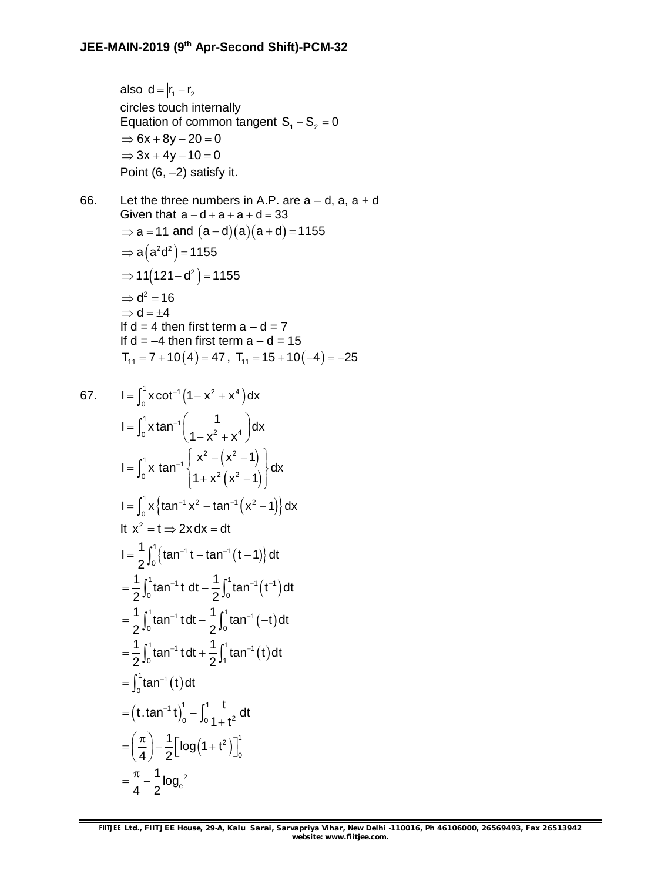also  $d = |r_1 - r_2|$ circles touch internally Equation of common tangent  $S_1 - S_2 = 0$  $\Rightarrow$  6x + 8y - 20 = 0  $\Rightarrow$  3x + 4y - 10 = 0 Point (6, –2) satisfy it.

66. Let the three numbers in A.P. are  $a - d$ ,  $a$ ,  $a + d$ Given that  $a-d+a+a+d=33$  $\Rightarrow$  a = 11 and  $(a-d)(a)(a+d) = 1155$  $\Rightarrow$  a $\left($  a $^2$ d $^2\right)$  = 1155 ⇒ 11 $(121 - d^2)$  = 1155  $\Rightarrow$  d<sup>2</sup> = 16  $\Rightarrow$  d =  $\pm 4$ If  $d = 4$  then first term  $a - d = 7$ If  $d = -4$  then first term  $a - d = 15$  $T_{11} = 7 + 10(4) = 47$ ,  $T_{11} = 15 + 10(-4) = -25$ 

67. 
$$
I = \int_0^1 x \cot^{-1} (1 - x^2 + x^4) dx
$$
  
\n
$$
I = \int_0^1 x \tan^{-1} \left( \frac{1}{1 - x^2 + x^4} \right) dx
$$
  
\n
$$
I = \int_0^1 x \tan^{-1} \left( \frac{x^2 - (x^2 - 1)}{1 + x^2 (x^2 - 1)} \right) dx
$$
  
\n
$$
I = \int_0^1 x \left\{ \tan^{-1} x^2 - \tan^{-1} (x^2 - 1) \right\} dx
$$
  
\nIt  $x^2 = t \Rightarrow 2x dx = dt$   
\n
$$
I = \frac{1}{2} \int_0^1 \left\{ \tan^{-1} t - \tan^{-1} (t - 1) \right\} dt
$$
  
\n
$$
= \frac{1}{2} \int_0^1 \tan^{-1} t dt - \frac{1}{2} \int_0^1 \tan^{-1} (t^{-1}) dt
$$
  
\n
$$
= \frac{1}{2} \int_0^1 \tan^{-1} t dt + \frac{1}{2} \int_1^1 \tan^{-1} (-t) dt
$$
  
\n
$$
= \int_0^1 \tan^{-1} t dt + \frac{1}{2} \int_1^1 \tan^{-1} (t) dt
$$
  
\n
$$
= \int_0^1 \tan^{-1} (t) dt
$$
  
\n
$$
= (t \cdot \tan^{-1} t)_0^1 - \int_0^1 \frac{t}{1 + t^2} dt
$$
  
\n
$$
= \left( \frac{\pi}{4} \right) - \frac{1}{2} \left[ \log (1 + t^2) \right]_0^1
$$
  
\n
$$
= \frac{\pi}{4} - \frac{1}{2} \log_e^2
$$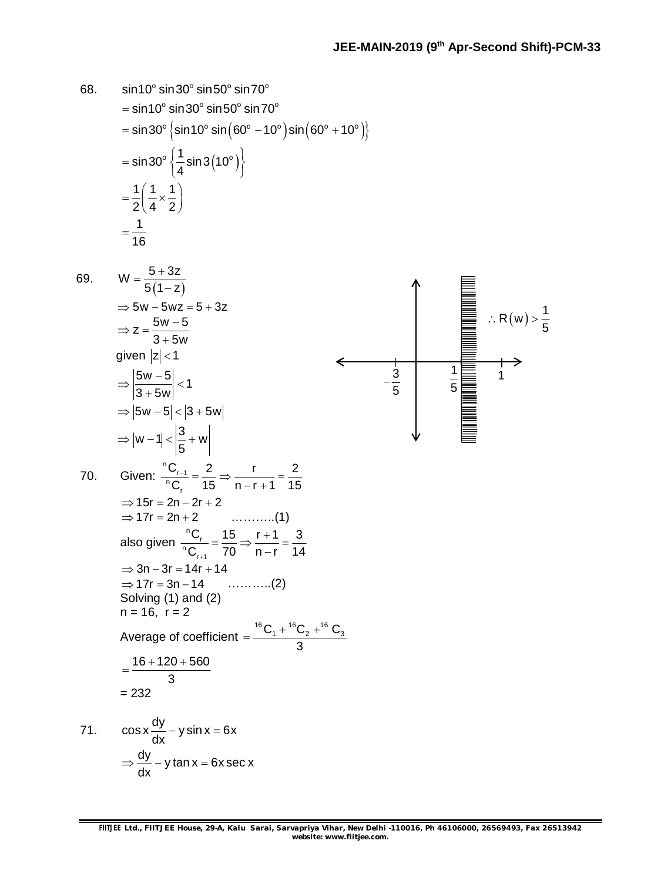68. 
$$
\sin 10^{\circ} \sin 30^{\circ} \sin 50^{\circ} \sin 70^{\circ}
$$
  
\n $= \sin 30^{\circ} \{ \sin 10^{\circ} \sin 60^{\circ} \sin 70^{\circ} \}$   
\n $= \sin 30^{\circ} \{ \frac{1}{3} \sin 0^{\circ} \sin(60^{\circ} - 10^{\circ}) \} \sin(60^{\circ} + 10^{\circ}) \}$   
\n $= \sin 30^{\circ} \{ \frac{1}{4} \sin 3(10^{\circ}) \}$   
\n $= \frac{1}{2} \{ \frac{1}{4} \times \frac{1}{2} \}$   
\n $= \frac{1}{16}$   
\n69.  $W = \frac{5 + 3z}{5(1 - z)}$   
\n $\Rightarrow 5w - 5wz = 5 + 3z$   
\n $\Rightarrow z = \frac{5w - 5}{5w}$   
\n $\Rightarrow 2z = \frac{5w - 5}{3 + 5w}$   
\n $\Rightarrow |z = \sqrt{5}$   
\n $\Rightarrow |5w - 5| < 1$   
\n $\Rightarrow |5w - 5| < 3 + 5w$ |  
\n $\Rightarrow |w - 1| < \left| \frac{3}{5} + w \right|$   
\n $\Rightarrow |w - 1| < \left| \frac{3}{5} + w \right|$   
\n70. Given:  $\frac{{}^{10}C_{1}!}{{}^{10}C_{1}!} = \frac{2}{15} \Rightarrow \frac{r}{n-1+1} = \frac{2}{15}$   
\n $\Rightarrow 15r = 2n - 2r + 2$   
\n $\Rightarrow 17r = 2n + 2$   
\n $\Rightarrow 17r = 2n + 2$   
\n $\Rightarrow 17r = 2n + 2$   
\nAlso given  $\frac{{}^{n0}C_{1}}{{}^{n0}C_{1}} = \frac{15}{70} \Rightarrow \frac{r + 1}{n - r} = \frac{3}{14}$   
\n $\Rightarrow 3n - 3r = 14r + 14$   
\n $\Rightarrow 3n - 3r = 14r + 14$   
\n $\Rightarrow 3$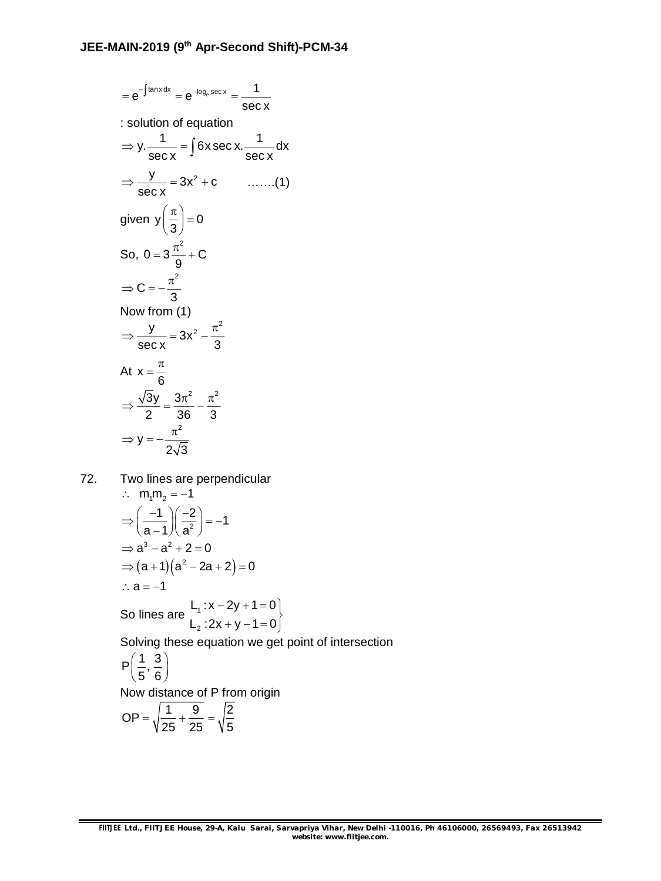$$
=e^{-\int \tan x dx} = e^{-\log_e \sec x} = \frac{1}{\sec x}
$$
  
\n
$$
\therefore \text{ solution of equation}
$$
  
\n
$$
\Rightarrow y \cdot \frac{1}{\sec x} = \int 6x \sec x \cdot \frac{1}{\sec x} dx
$$
  
\n
$$
\Rightarrow \frac{y}{\sec x} = 3x^2 + c \qquad \qquad ....... (1)
$$
  
\ngiven  $y\left(\frac{\pi}{3}\right) = 0$   
\nSo,  $0 = 3\frac{\pi^2}{9} + C$   
\n
$$
\Rightarrow C = -\frac{\pi^2}{3}
$$
  
\nNow from (1)  
\n
$$
\Rightarrow \frac{y}{\sec x} = 3x^2 - \frac{\pi^2}{3}
$$
  
\nAt  $x = \frac{\pi}{6}$   
\n
$$
\Rightarrow \frac{\sqrt{3}y}{2} = \frac{3\pi^2}{36} - \frac{\pi^2}{3}
$$
  
\n
$$
\Rightarrow y = -\frac{\pi^2}{2\sqrt{3}}
$$

72. Two lines are perpendicular

$$
\therefore m_1m_2 = -1
$$
\n
$$
\Rightarrow \left(\frac{-1}{a-1}\right)\left(\frac{-2}{a^2}\right) = -1
$$
\n
$$
\Rightarrow a^3 - a^2 + 2 = 0
$$
\n
$$
\Rightarrow (a+1)(a^2 - 2a + 2) = 0
$$
\n
$$
\therefore a = -1
$$
\nSo lines are\n
$$
L_1: x - 2y + 1 = 0
$$
\nSolving these equation we get

Solving these equation we get point of intersection

$$
\mathsf{P}\!\left(\frac{1}{5},\frac{3}{6}\right)
$$

Now distance of P from origin

$$
OP = \sqrt{\frac{1}{25} + \frac{9}{25}} = \sqrt{\frac{2}{5}}
$$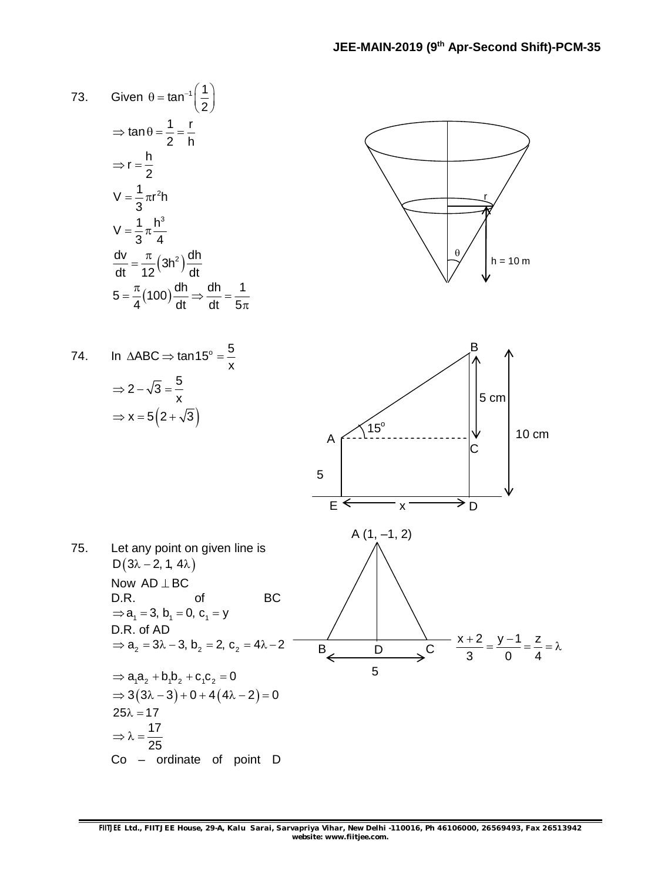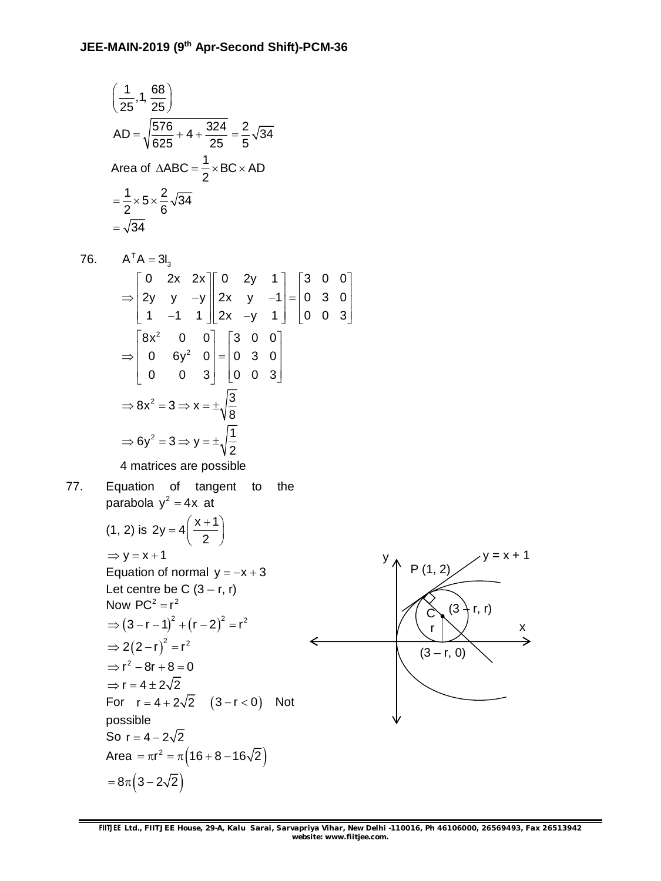$$
\left(\frac{1}{25}, 1, \frac{68}{25}\right)
$$
  
AD =  $\sqrt{\frac{576}{625} + 4 + \frac{324}{25}} = \frac{2}{5}\sqrt{34}$   
Area of  $\triangle ABC = \frac{1}{2} \times BC \times AD$   
=  $\frac{1}{2} \times 5 \times \frac{2}{6}\sqrt{34}$   
=  $\sqrt{34}$ 

76. 
$$
A^TA = 3I_3
$$
  
\n
$$
\Rightarrow \begin{bmatrix} 0 & 2x & 2x \\ 2y & y & -y \\ 1 & -1 & 1 \end{bmatrix} \begin{bmatrix} 0 & 2y & 1 \\ 2x & y & -1 \\ 2x & -y & 1 \end{bmatrix} = \begin{bmatrix} 3 & 0 & 0 \\ 0 & 3 & 0 \\ 0 & 0 & 3 \end{bmatrix}
$$
\n
$$
\Rightarrow \begin{bmatrix} 8x^2 & 0 & 0 \\ 0 & 6y^2 & 0 \\ 0 & 0 & 3 \end{bmatrix} = \begin{bmatrix} 3 & 0 & 0 \\ 0 & 3 & 0 \\ 0 & 0 & 3 \end{bmatrix}
$$
\n
$$
\Rightarrow 8x^2 = 3 \Rightarrow x = \pm \sqrt{\frac{3}{8}}
$$
\n
$$
\Rightarrow 6y^2 = 3 \Rightarrow y = \pm \sqrt{\frac{1}{2}}
$$

4 matrices are possible

77. Equation of tangent to the parabola y<sup>2</sup> = 4x at

$$
(1, 2) \text{ is } 2y = 4\left(\frac{x+1}{2}\right)
$$
  
\n
$$
\Rightarrow y = x+1
$$
  
\nEquation of normal  $y = -x+3$   
\nLet centre be C  $(3 - r, r)$   
\nNow PC<sup>2</sup> = r<sup>2</sup>  
\n
$$
\Rightarrow (3 - r - 1)^{2} + (r - 2)^{2} = r^{2}
$$
  
\n
$$
\Rightarrow 2(2 - r)^{2} = r^{2}
$$
  
\n
$$
\Rightarrow r^{2} - 8r + 8 = 0
$$

$$
\Rightarrow r = 4 \pm 2\sqrt{2}
$$
  
For  $r = 4 + 2$ 

For  $r = 4 + 2\sqrt{2}$   $(3 - r < 0)$  Not possible So  $r = 4 - 2\sqrt{2}$ Area =  $\pi r^2 = \pi (16 + 8 - 16\sqrt{2})$  $= 8\pi (3 - 2\sqrt{2})$ 

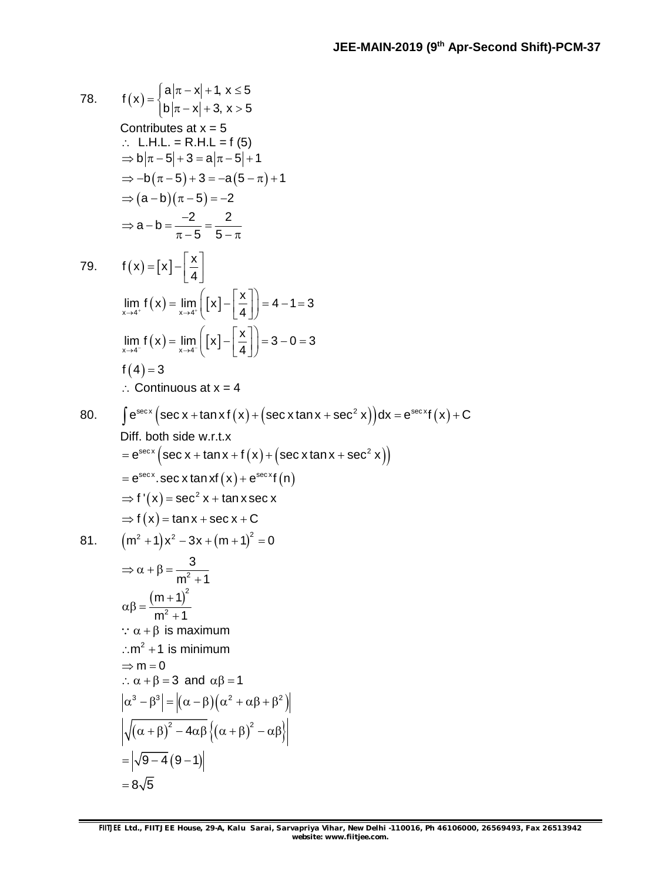78. f(x)=\begin{cases} a|\pi - x| +1, x \le 5\\ b|\pi - x| +3, x > 5 \end{cases}   
\nContinuous at x = 5  
\n∴ L.H.L. = R.H.L = f(5)  
\n⇒ b|\pi - 5| + 3 = a|\pi - 5| + 1  
\n⇒ -b(\pi - 5) + 3 = -a(5 - \pi) + 1  
\n⇒ (a - b)(\pi - 5) = -2  
\n⇒ a - b = 
$$
\frac{-2}{\pi - 5} = \frac{2}{5 - \pi}
$$
  
\n79. f(x)= [x] -  $\left[\frac{x}{4}\right]$   
\n
$$
\lim_{x \to 4^+} f(x) = \lim_{x \to 4^-} \left[ x \right] - \left[\frac{x}{4} \right] = 4 - 1 = 3
$$
\n
$$
\lim_{x \to 4^+} f(x) = \lim_{x \to 4^-} \left[ x \right] - \left[\frac{x}{4} \right] = 3 - 0 = 3
$$
\n
$$
f(4) = 3
$$
\n∴ Continuous at x = 4  
\n80.  $\int e^{\arcc x} (\sec x + \tan x f(x) + (\sec x \tan x + \sec^2 x)) dx = e^{\arcc x} f(x) + C$   
\nDiff. both side w.r.t.x  
\n= e^{\sec x} (\sec x + \tan x + f(x) + (\sec x \tan x + \sec^2 x))  
\n= e^{\sec x} (\sec x + \tan x + f(x) + (\sec x \tan x + \sec^2 x))  
\n= e^{\sec x} (\sec x + \tan x + f(x) + (\sec x \tan x + \sec^2 x))  
\n= e^{\sec x} (\sec x + \tan x + f(x) + (\sec x \tan x + \sec^2 x))  
\n= e^{\sec x} (\sec x + \tan x + f(x) + (\sec x \tan x + \sec^2 x))  
\n= e^{\sec x} (\sec x + \tan x + f(x) + (\sec x \tan x + \sec^2 x))  
\n= e^{\sec x} (\sec x + \tan x + f(x) + (\sec x \tan x + \sec^2 x))  
\n= e^{\sec x} (\sec x + \tan x + f(x) + (\sec x \tan x + \sec^2 x))  
\n= e^{\sec x} (\sec x + \tan x + f(x) + (\sec x \tan x + \sec^2 x))  
\n= e^{\sec x} (\sec x + \

 $=8\sqrt{5}$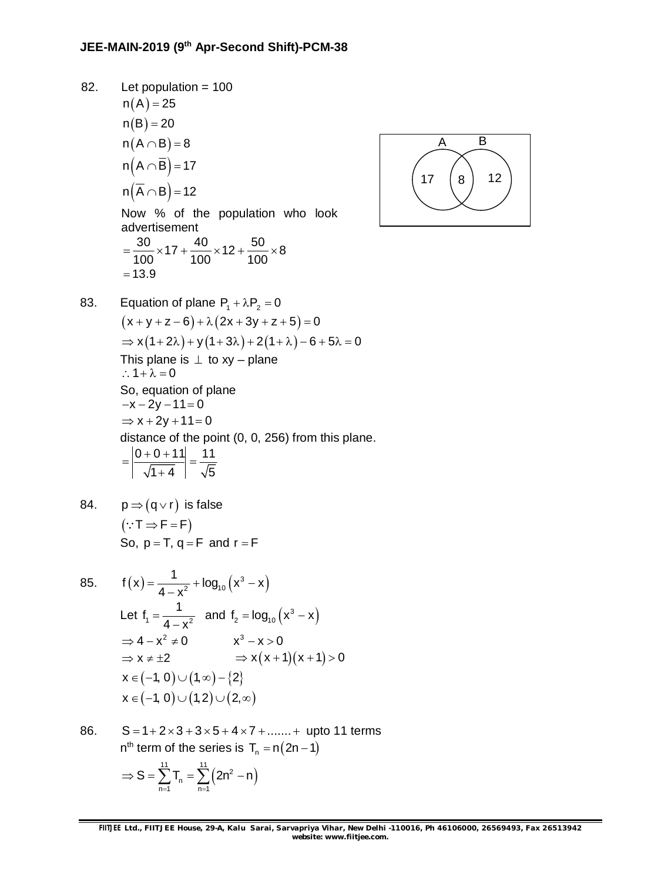82. Let population = 100  $n(A) = 25$  $n(B) = 20$  $n(A \cap B) = 8$  $n(A \cap \overline{B}) = 17$  $n(\overline{A} \cap B) = 12$ Now % of the population who look advertisement  $\frac{30}{100}$  × 17 +  $\frac{40}{100}$  × 12 +  $\frac{50}{100}$  × 8 100 100 100  $=\frac{88}{100} \times 17 + \frac{18}{100} \times 12 + \frac{88}{100} \times 8$  $= 13.9$ 



83. Equation of plane P<sub>1</sub> + 
$$
\lambda
$$
P<sub>2</sub> = 0  
\n
$$
(x + y + z - 6) + \lambda (2x + 3y + z + 5) = 0
$$
\n
$$
\Rightarrow x(1+2\lambda) + y(1+3\lambda) + 2(1+\lambda) - 6 + 5\lambda = 0
$$
\nThis plane is  $\perp$  to  $xy$  - plane  
\n $\therefore$  1+ $\lambda$  = 0  
\nSo, equation of plane  
\n $-x - 2y - 11 = 0$   
\n $\Rightarrow x + 2y + 11 = 0$   
\ndistance of the point (0, 0, 256) from this plane.  
\n
$$
= \left| \frac{0+0+11}{\sqrt{1+4}} \right| = \frac{11}{\sqrt{5}}
$$

84. 
$$
p \Rightarrow (q \lor r)
$$
 is false  
\n
$$
(\because T \Rightarrow F = F)
$$
\nSo, p = T, q = F and r = F

85. 
$$
f(x) = \frac{1}{4 - x^2} + \log_{10} (x^3 - x)
$$
  
\nLet  $f_1 = \frac{1}{4 - x^2}$  and  $f_2 = \log_{10} (x^3 - x)$   
\n $\Rightarrow 4 - x^2 \neq 0$   $x^3 - x > 0$   
\n $\Rightarrow x \neq \pm 2$   $\Rightarrow x(x + 1)(x + 1) > 0$   
\n $x \in (-1, 0) \cup (1, \infty) - \{2\}$   
\n $x \in (-1, 0) \cup (1, 2) \cup (2, \infty)$ 

86.  $S = 1 + 2 \times 3 + 3 \times 5 + 4 \times 7 + \dots +$  upto 11 terms  $n^{th}$  term of the series is  $T_n = n(2n - 1)$  $(2n^2 - n)$  $\sum_{n=1}^{11} T_n = \sum_{n=1}^{11} (2n^2)$  $S = \sum T_n = \sum (2n^2 - n)$  $\Rightarrow S = \sum_{n=1}^{n} T_n = \sum_{n=1}^{n} (2n^2 - r)$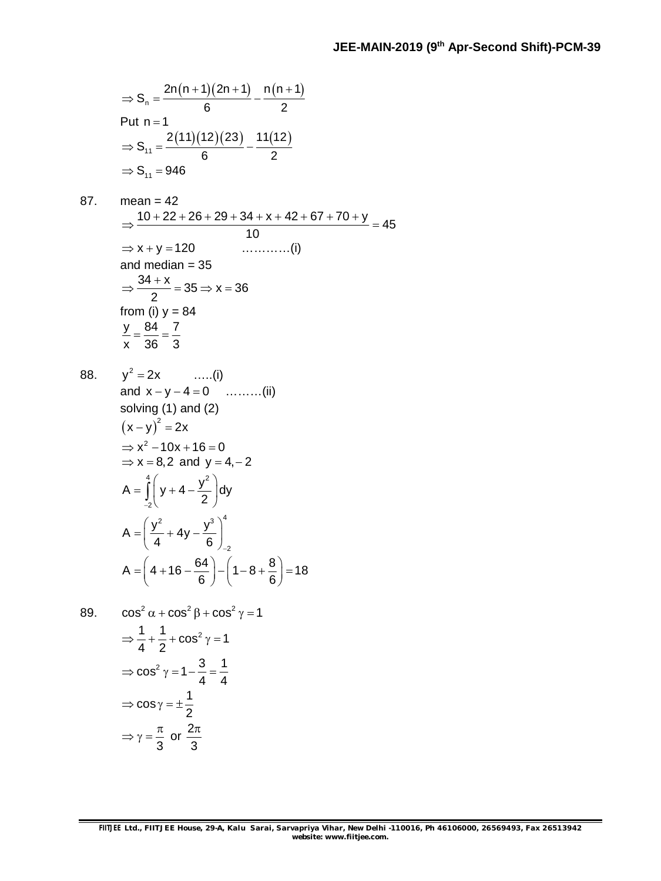$$
\Rightarrow S_n = \frac{2n(n+1)(2n+1)}{6} - \frac{n(n+1)}{2}
$$
  
Put n = 1  

$$
\Rightarrow S_{11} = \frac{2(11)(12)(23)}{6} - \frac{11(12)}{2}
$$

$$
\Rightarrow S_{11} = 946
$$

87. mean = 42  
\n
$$
\Rightarrow \frac{10 + 22 + 26 + 29 + 34 + x + 42 + 67 + 70 + y}{10} = 45
$$
\n
$$
\Rightarrow x + y = 120
$$
\nand median = 35  
\n
$$
\Rightarrow \frac{34 + x}{2} = 35 \Rightarrow x = 36
$$
\nfrom (i) y = 84  
\n
$$
\frac{y}{x} = \frac{84}{36} = \frac{7}{3}
$$

88. 
$$
y^2 = 2x
$$
 ......(i)  
\nand  $x - y - 4 = 0$  ......(ii)  
\nsolving (1) and (2)  
\n $(x - y)^2 = 2x$   
\n $\Rightarrow x^2 - 10x + 16 = 0$   
\n $\Rightarrow x = 8,2$  and  $y = 4, -2$   
\n $A = \int_{-2}^{4} \left( y + 4 - \frac{y^2}{2} \right) dy$   
\n $A = \left( \frac{y^2}{4} + 4y - \frac{y^3}{6} \right)_{-2}^{4}$   
\n $A = \left( 4 + 16 - \frac{64}{6} \right) - \left( 1 - 8 + \frac{8}{6} \right) = 18$ 

89. 
$$
\cos^2 \alpha + \cos^2 \beta + \cos^2 \gamma = 1
$$

$$
\Rightarrow \frac{1}{4} + \frac{1}{2} + \cos^2 \gamma = 1
$$

$$
\Rightarrow \cos^2 \gamma = 1 - \frac{3}{4} = \frac{1}{4}
$$

$$
\Rightarrow \cos \gamma = \pm \frac{1}{2}
$$

$$
\Rightarrow \gamma = \frac{\pi}{3} \text{ or } \frac{2\pi}{3}
$$